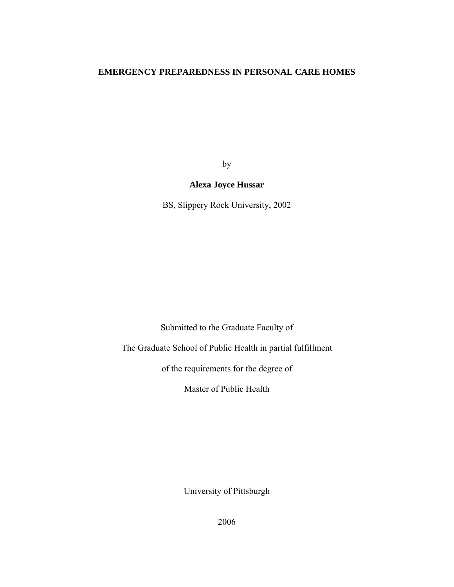# **EMERGENCY PREPAREDNESS IN PERSONAL CARE HOMES**

by

# **Alexa Joyce Hussar**

BS, Slippery Rock University, 2002

Submitted to the Graduate Faculty of

The Graduate School of Public Health in partial fulfillment

of the requirements for the degree of

Master of Public Health

University of Pittsburgh

2006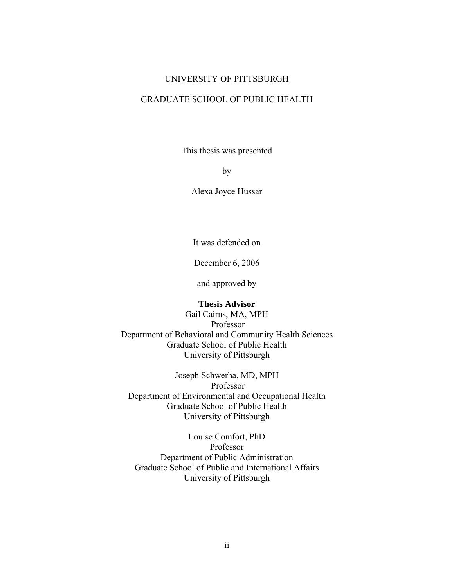# UNIVERSITY OF PITTSBURGH

# GRADUATE SCHOOL OF PUBLIC HEALTH

This thesis was presented

by

Alexa Joyce Hussar

It was defended on

December 6, 2006

and approved by

### **Thesis Advisor**

Gail Cairns, MA, MPH Professor Department of Behavioral and Community Health Sciences Graduate School of Public Health University of Pittsburgh

Joseph Schwerha, MD, MPH Professor Department of Environmental and Occupational Health Graduate School of Public Health University of Pittsburgh

Louise Comfort, PhD Professor Department of Public Administration Graduate School of Public and International Affairs University of Pittsburgh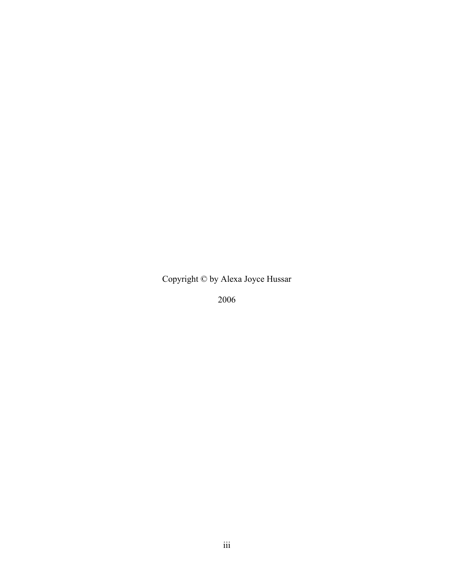Copyright © by Alexa Joyce Hussar

2006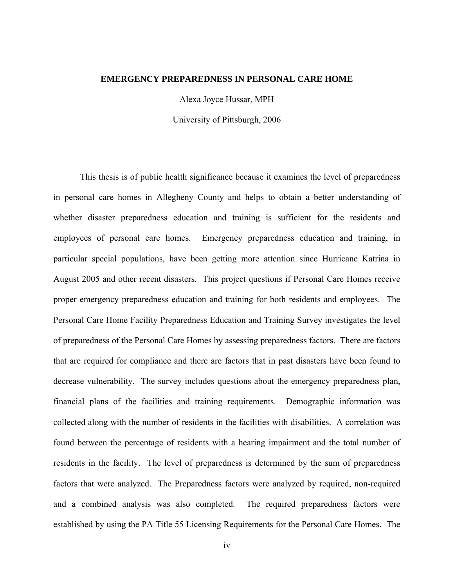### **EMERGENCY PREPAREDNESS IN PERSONAL CARE HOME**

Alexa Joyce Hussar, MPH

University of Pittsburgh, 2006

This thesis is of public health significance because it examines the level of preparedness in personal care homes in Allegheny County and helps to obtain a better understanding of whether disaster preparedness education and training is sufficient for the residents and employees of personal care homes. Emergency preparedness education and training, in particular special populations, have been getting more attention since Hurricane Katrina in August 2005 and other recent disasters. This project questions if Personal Care Homes receive proper emergency preparedness education and training for both residents and employees. The Personal Care Home Facility Preparedness Education and Training Survey investigates the level of preparedness of the Personal Care Homes by assessing preparedness factors. There are factors that are required for compliance and there are factors that in past disasters have been found to decrease vulnerability. The survey includes questions about the emergency preparedness plan, financial plans of the facilities and training requirements. Demographic information was collected along with the number of residents in the facilities with disabilities. A correlation was found between the percentage of residents with a hearing impairment and the total number of residents in the facility. The level of preparedness is determined by the sum of preparedness factors that were analyzed. The Preparedness factors were analyzed by required, non-required and a combined analysis was also completed. The required preparedness factors were established by using the PA Title 55 Licensing Requirements for the Personal Care Homes. The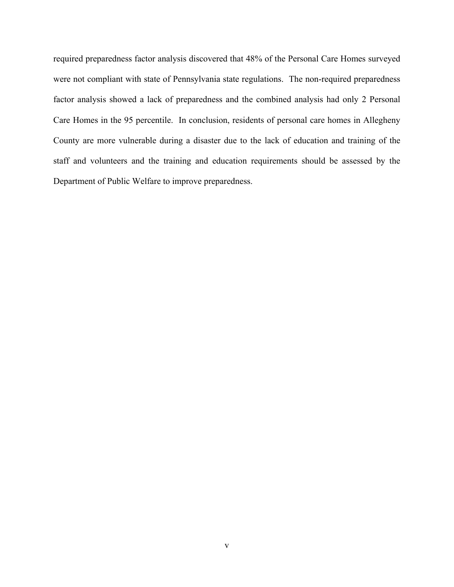required preparedness factor analysis discovered that 48% of the Personal Care Homes surveyed were not compliant with state of Pennsylvania state regulations. The non-required preparedness factor analysis showed a lack of preparedness and the combined analysis had only 2 Personal Care Homes in the 95 percentile. In conclusion, residents of personal care homes in Allegheny County are more vulnerable during a disaster due to the lack of education and training of the staff and volunteers and the training and education requirements should be assessed by the Department of Public Welfare to improve preparedness.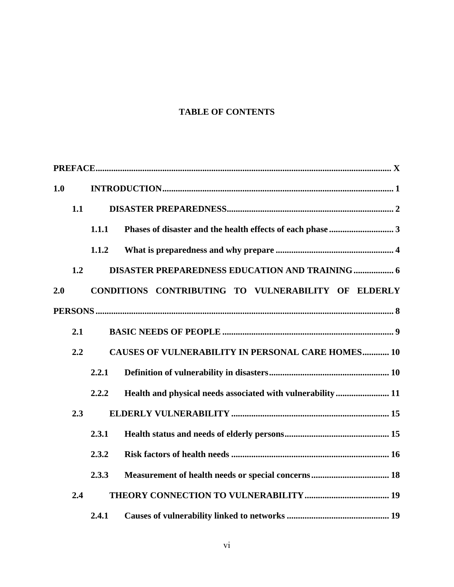# **TABLE OF CONTENTS**

| 1.0 |     |                                                          |                                                        |  |  |  |  |  |  |  |
|-----|-----|----------------------------------------------------------|--------------------------------------------------------|--|--|--|--|--|--|--|
|     | 1.1 |                                                          |                                                        |  |  |  |  |  |  |  |
|     |     | 1.1.1                                                    |                                                        |  |  |  |  |  |  |  |
|     |     | 1.1.2                                                    |                                                        |  |  |  |  |  |  |  |
|     | 1.2 |                                                          | <b>DISASTER PREPAREDNESS EDUCATION AND TRAINING  6</b> |  |  |  |  |  |  |  |
| 2.0 |     |                                                          | CONDITIONS CONTRIBUTING TO VULNERABILITY OF ELDERLY    |  |  |  |  |  |  |  |
|     |     |                                                          |                                                        |  |  |  |  |  |  |  |
|     | 2.1 |                                                          |                                                        |  |  |  |  |  |  |  |
|     | 2.2 | <b>CAUSES OF VULNERABILITY IN PERSONAL CARE HOMES 10</b> |                                                        |  |  |  |  |  |  |  |
|     |     | 2.2.1                                                    |                                                        |  |  |  |  |  |  |  |
|     |     | 2.2.2                                                    |                                                        |  |  |  |  |  |  |  |
|     | 2.3 |                                                          |                                                        |  |  |  |  |  |  |  |
|     |     | 2.3.1                                                    |                                                        |  |  |  |  |  |  |  |
|     |     | 2.3.2                                                    |                                                        |  |  |  |  |  |  |  |
|     |     | 2.3.3                                                    |                                                        |  |  |  |  |  |  |  |
|     | 2.4 |                                                          |                                                        |  |  |  |  |  |  |  |
|     |     | 2.4.1                                                    |                                                        |  |  |  |  |  |  |  |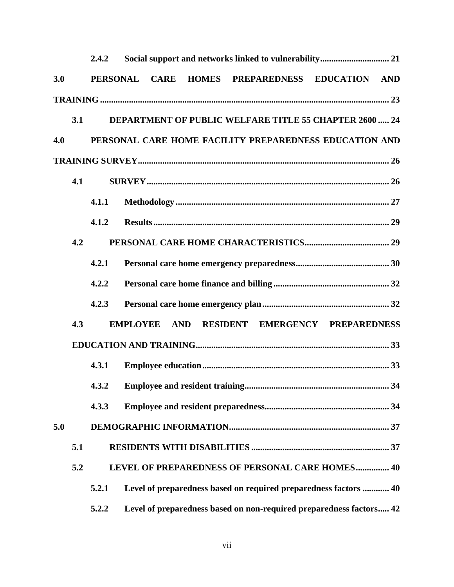|     |     | 2.4.2                                                                     |                                                        |             |  |  |  |                                                                     |  |  |  |
|-----|-----|---------------------------------------------------------------------------|--------------------------------------------------------|-------------|--|--|--|---------------------------------------------------------------------|--|--|--|
| 3.0 |     | <b>PERSONAL</b>                                                           |                                                        | <b>CARE</b> |  |  |  | HOMES PREPAREDNESS EDUCATION AND                                    |  |  |  |
|     |     |                                                                           |                                                        |             |  |  |  |                                                                     |  |  |  |
|     | 3.1 | <b>DEPARTMENT OF PUBLIC WELFARE TITLE 55 CHAPTER 2600  24</b>             |                                                        |             |  |  |  |                                                                     |  |  |  |
| 4.0 |     |                                                                           | PERSONAL CARE HOME FACILITY PREPAREDNESS EDUCATION AND |             |  |  |  |                                                                     |  |  |  |
|     |     |                                                                           |                                                        |             |  |  |  |                                                                     |  |  |  |
|     | 4.1 |                                                                           |                                                        |             |  |  |  |                                                                     |  |  |  |
|     |     | 4.1.1                                                                     |                                                        |             |  |  |  |                                                                     |  |  |  |
|     |     | 4.1.2                                                                     |                                                        |             |  |  |  |                                                                     |  |  |  |
|     | 4.2 |                                                                           |                                                        |             |  |  |  |                                                                     |  |  |  |
|     |     | 4.2.1                                                                     |                                                        |             |  |  |  |                                                                     |  |  |  |
|     |     | 4.2.2                                                                     |                                                        |             |  |  |  |                                                                     |  |  |  |
|     |     | 4.2.3                                                                     |                                                        |             |  |  |  |                                                                     |  |  |  |
|     | 4.3 | RESIDENT EMERGENCY PREPAREDNESS<br><b>EMPLOYEE</b><br><b>AND</b>          |                                                        |             |  |  |  |                                                                     |  |  |  |
|     |     |                                                                           |                                                        |             |  |  |  |                                                                     |  |  |  |
|     |     | 4.3.1                                                                     |                                                        |             |  |  |  |                                                                     |  |  |  |
|     |     |                                                                           |                                                        |             |  |  |  |                                                                     |  |  |  |
|     |     | 4.3.3                                                                     |                                                        |             |  |  |  |                                                                     |  |  |  |
| 5.0 |     |                                                                           |                                                        |             |  |  |  |                                                                     |  |  |  |
|     | 5.1 |                                                                           |                                                        |             |  |  |  |                                                                     |  |  |  |
|     | 5.2 | LEVEL OF PREPAREDNESS OF PERSONAL CARE HOMES 40                           |                                                        |             |  |  |  |                                                                     |  |  |  |
|     |     | Level of preparedness based on required preparedness factors  40<br>5.2.1 |                                                        |             |  |  |  |                                                                     |  |  |  |
|     |     | 5.2.2                                                                     |                                                        |             |  |  |  | Level of preparedness based on non-required preparedness factors 42 |  |  |  |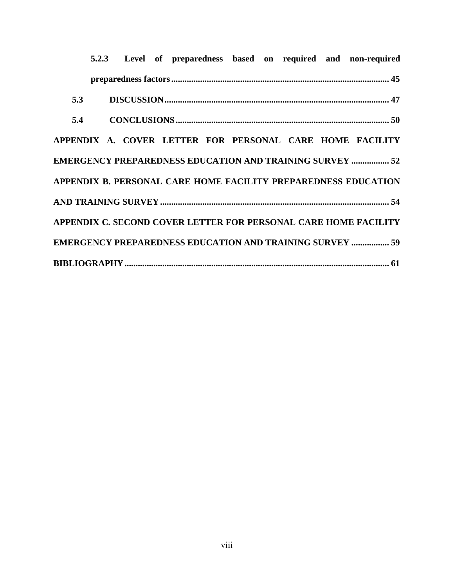|     |  |  |  |  |  |  |  |  |  | 5.2.3 Level of preparedness based on required and non-required  |
|-----|--|--|--|--|--|--|--|--|--|-----------------------------------------------------------------|
|     |  |  |  |  |  |  |  |  |  |                                                                 |
| 5.3 |  |  |  |  |  |  |  |  |  |                                                                 |
|     |  |  |  |  |  |  |  |  |  |                                                                 |
|     |  |  |  |  |  |  |  |  |  | APPENDIX A. COVER LETTER FOR PERSONAL CARE HOME FACILITY        |
|     |  |  |  |  |  |  |  |  |  | <b>EMERGENCY PREPAREDNESS EDUCATION AND TRAINING SURVEY  52</b> |
|     |  |  |  |  |  |  |  |  |  | APPENDIX B. PERSONAL CARE HOME FACILITY PREPAREDNESS EDUCATION  |
|     |  |  |  |  |  |  |  |  |  |                                                                 |
|     |  |  |  |  |  |  |  |  |  | APPENDIX C. SECOND COVER LETTER FOR PERSONAL CARE HOME FACILITY |
|     |  |  |  |  |  |  |  |  |  | <b>EMERGENCY PREPAREDNESS EDUCATION AND TRAINING SURVEY  59</b> |
|     |  |  |  |  |  |  |  |  |  |                                                                 |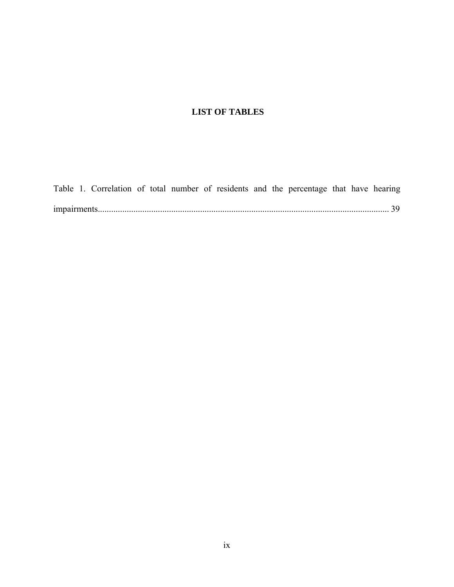# **LIST OF TABLES**

[Table 1. Correlation of total number of residents and the percentage that have hearing](#page-50-0)  [impairments................................................................................................................................... 39](#page-50-0)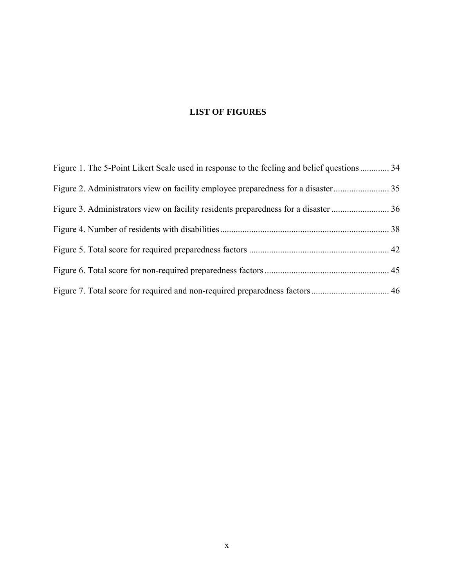# **LIST OF FIGURES**

| Figure 1. The 5-Point Likert Scale used in response to the feeling and belief questions  34 |  |
|---------------------------------------------------------------------------------------------|--|
|                                                                                             |  |
|                                                                                             |  |
|                                                                                             |  |
|                                                                                             |  |
|                                                                                             |  |
|                                                                                             |  |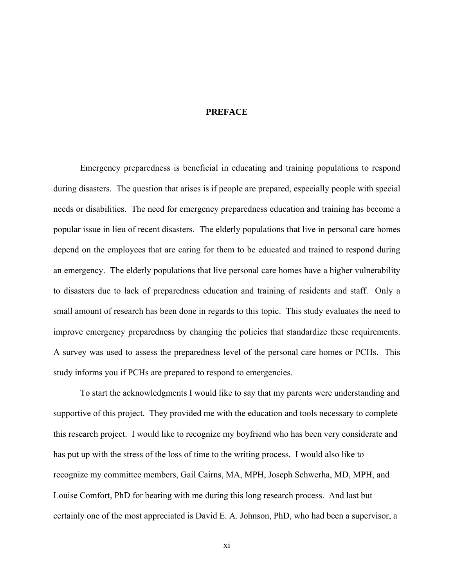## **PREFACE**

<span id="page-10-0"></span>Emergency preparedness is beneficial in educating and training populations to respond during disasters. The question that arises is if people are prepared, especially people with special needs or disabilities. The need for emergency preparedness education and training has become a popular issue in lieu of recent disasters. The elderly populations that live in personal care homes depend on the employees that are caring for them to be educated and trained to respond during an emergency. The elderly populations that live personal care homes have a higher vulnerability to disasters due to lack of preparedness education and training of residents and staff. Only a small amount of research has been done in regards to this topic. This study evaluates the need to improve emergency preparedness by changing the policies that standardize these requirements. A survey was used to assess the preparedness level of the personal care homes or PCHs. This study informs you if PCHs are prepared to respond to emergencies.

To start the acknowledgments I would like to say that my parents were understanding and supportive of this project. They provided me with the education and tools necessary to complete this research project. I would like to recognize my boyfriend who has been very considerate and has put up with the stress of the loss of time to the writing process. I would also like to recognize my committee members, Gail Cairns, MA, MPH, Joseph Schwerha, MD, MPH, and Louise Comfort, PhD for bearing with me during this long research process. And last but certainly one of the most appreciated is David E. A. Johnson, PhD, who had been a supervisor, a

xi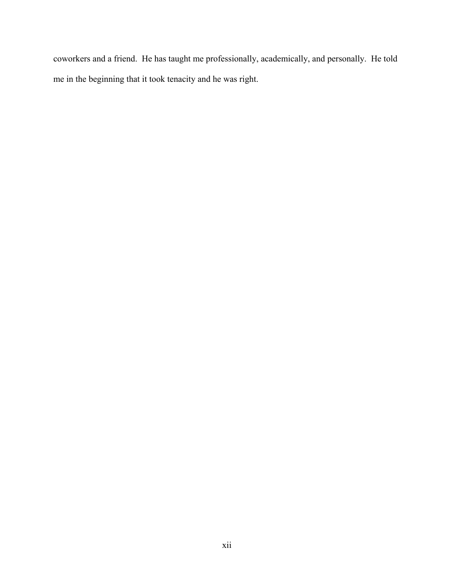coworkers and a friend. He has taught me professionally, academically, and personally. He told me in the beginning that it took tenacity and he was right.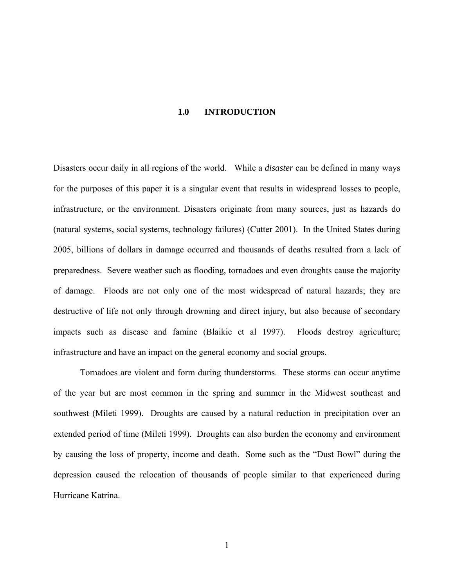### **1.0 INTRODUCTION**

<span id="page-12-0"></span>Disasters occur daily in all regions of the world. While a *disaster* can be defined in many ways for the purposes of this paper it is a singular event that results in widespread losses to people, infrastructure, or the environment. Disasters originate from many sources, just as hazards do (natural systems, social systems, technology failures) (Cutter 2001). In the United States during 2005, billions of dollars in damage occurred and thousands of deaths resulted from a lack of preparedness. Severe weather such as flooding, tornadoes and even droughts cause the majority of damage. Floods are not only one of the most widespread of natural hazards; they are destructive of life not only through drowning and direct injury, but also because of secondary impacts such as disease and famine (Blaikie et al 1997). Floods destroy agriculture; infrastructure and have an impact on the general economy and social groups.

Tornadoes are violent and form during thunderstorms. These storms can occur anytime of the year but are most common in the spring and summer in the Midwest southeast and southwest (Mileti 1999). Droughts are caused by a natural reduction in precipitation over an extended period of time (Mileti 1999). Droughts can also burden the economy and environment by causing the loss of property, income and death. Some such as the "Dust Bowl" during the depression caused the relocation of thousands of people similar to that experienced during Hurricane Katrina.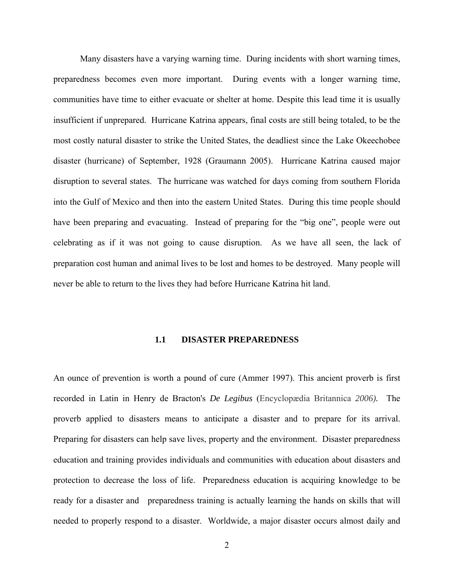<span id="page-13-0"></span>Many disasters have a varying warning time. During incidents with short warning times, preparedness becomes even more important. During events with a longer warning time, communities have time to either evacuate or shelter at home. Despite this lead time it is usually insufficient if unprepared. Hurricane Katrina appears, final costs are still being totaled, to be the most costly natural disaster to strike the United States, the deadliest since the Lake Okeechobee disaster (hurricane) of September, 1928 (Graumann 2005). Hurricane Katrina caused major disruption to several states. The hurricane was watched for days coming from southern Florida into the Gulf of Mexico and then into the eastern United States. During this time people should have been preparing and evacuating. Instead of preparing for the "big one", people were out celebrating as if it was not going to cause disruption. As we have all seen, the lack of preparation cost human and animal lives to be lost and homes to be destroyed. Many people will never be able to return to the lives they had before Hurricane Katrina hit land.

### **1.1 DISASTER PREPAREDNESS**

An ounce of prevention is worth a pound of cure (Ammer 1997). This ancient proverb is first recorded in Latin in Henry de Bracton's *De Legibus* (Encyclopædia Britannica *2006).* The proverb applied to disasters means to anticipate a disaster and to prepare for its arrival. Preparing for disasters can help save lives, property and the environment. Disaster preparedness education and training provides individuals and communities with education about disasters and protection to decrease the loss of life. Preparedness education is acquiring knowledge to be ready for a disaster and preparedness training is actually learning the hands on skills that will needed to properly respond to a disaster. Worldwide, a major disaster occurs almost daily and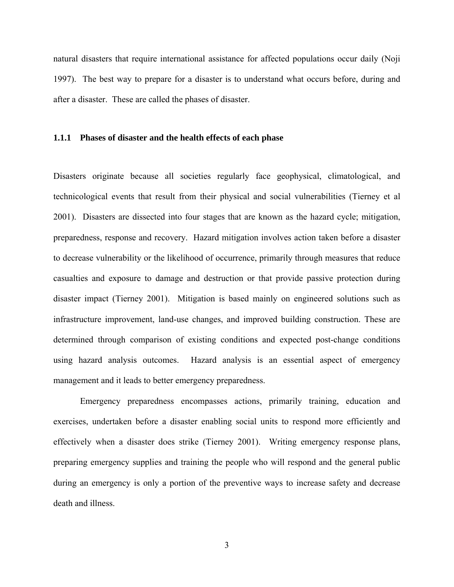<span id="page-14-0"></span>natural disasters that require international assistance for affected populations occur daily (Noji 1997). The best way to prepare for a disaster is to understand what occurs before, during and after a disaster. These are called the phases of disaster.

### **1.1.1 Phases of disaster and the health effects of each phase**

Disasters originate because all societies regularly face geophysical, climatological, and technicological events that result from their physical and social vulnerabilities (Tierney et al 2001). Disasters are dissected into four stages that are known as the hazard cycle; mitigation, preparedness, response and recovery. Hazard mitigation involves action taken before a disaster to decrease vulnerability or the likelihood of occurrence, primarily through measures that reduce casualties and exposure to damage and destruction or that provide passive protection during disaster impact (Tierney 2001). Mitigation is based mainly on engineered solutions such as infrastructure improvement, land-use changes, and improved building construction. These are determined through comparison of existing conditions and expected post-change conditions using hazard analysis outcomes. Hazard analysis is an essential aspect of emergency management and it leads to better emergency preparedness.

Emergency preparedness encompasses actions, primarily training, education and exercises, undertaken before a disaster enabling social units to respond more efficiently and effectively when a disaster does strike (Tierney 2001). Writing emergency response plans, preparing emergency supplies and training the people who will respond and the general public during an emergency is only a portion of the preventive ways to increase safety and decrease death and illness.

3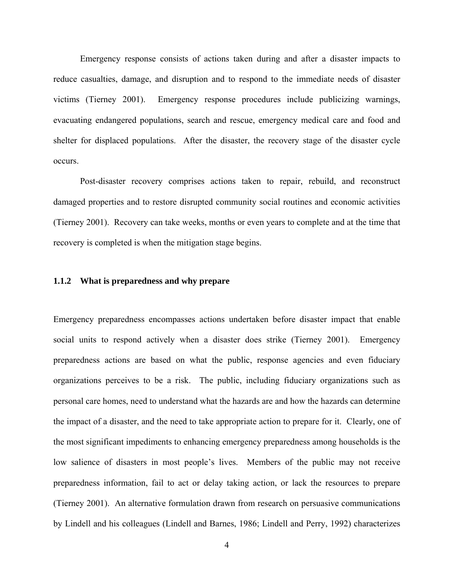<span id="page-15-0"></span>Emergency response consists of actions taken during and after a disaster impacts to reduce casualties, damage, and disruption and to respond to the immediate needs of disaster victims (Tierney 2001). Emergency response procedures include publicizing warnings, evacuating endangered populations, search and rescue, emergency medical care and food and shelter for displaced populations. After the disaster, the recovery stage of the disaster cycle occurs.

Post-disaster recovery comprises actions taken to repair, rebuild, and reconstruct damaged properties and to restore disrupted community social routines and economic activities (Tierney 2001). Recovery can take weeks, months or even years to complete and at the time that recovery is completed is when the mitigation stage begins.

# **1.1.2 What is preparedness and why prepare**

Emergency preparedness encompasses actions undertaken before disaster impact that enable social units to respond actively when a disaster does strike (Tierney 2001). Emergency preparedness actions are based on what the public, response agencies and even fiduciary organizations perceives to be a risk. The public, including fiduciary organizations such as personal care homes, need to understand what the hazards are and how the hazards can determine the impact of a disaster, and the need to take appropriate action to prepare for it. Clearly, one of the most significant impediments to enhancing emergency preparedness among households is the low salience of disasters in most people's lives. Members of the public may not receive preparedness information, fail to act or delay taking action, or lack the resources to prepare (Tierney 2001). An alternative formulation drawn from research on persuasive communications by Lindell and his colleagues (Lindell and Barnes, 1986; Lindell and Perry, 1992) characterizes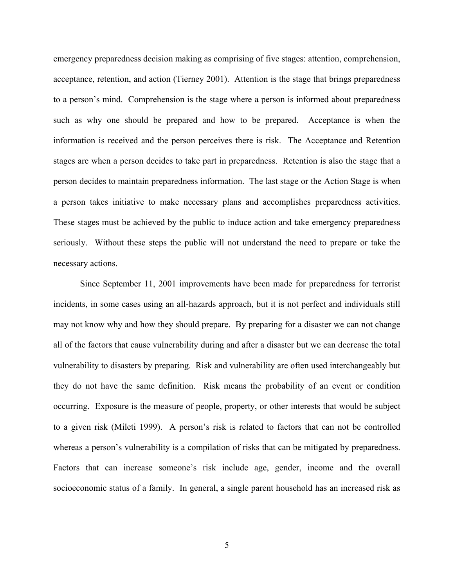emergency preparedness decision making as comprising of five stages: attention, comprehension, acceptance, retention, and action (Tierney 2001). Attention is the stage that brings preparedness to a person's mind. Comprehension is the stage where a person is informed about preparedness such as why one should be prepared and how to be prepared. Acceptance is when the information is received and the person perceives there is risk. The Acceptance and Retention stages are when a person decides to take part in preparedness. Retention is also the stage that a person decides to maintain preparedness information. The last stage or the Action Stage is when a person takes initiative to make necessary plans and accomplishes preparedness activities. These stages must be achieved by the public to induce action and take emergency preparedness seriously. Without these steps the public will not understand the need to prepare or take the necessary actions.

Since September 11, 2001 improvements have been made for preparedness for terrorist incidents, in some cases using an all-hazards approach, but it is not perfect and individuals still may not know why and how they should prepare. By preparing for a disaster we can not change all of the factors that cause vulnerability during and after a disaster but we can decrease the total vulnerability to disasters by preparing. Risk and vulnerability are often used interchangeably but they do not have the same definition. Risk means the probability of an event or condition occurring. Exposure is the measure of people, property, or other interests that would be subject to a given risk (Mileti 1999). A person's risk is related to factors that can not be controlled whereas a person's vulnerability is a compilation of risks that can be mitigated by preparedness. Factors that can increase someone's risk include age, gender, income and the overall socioeconomic status of a family. In general, a single parent household has an increased risk as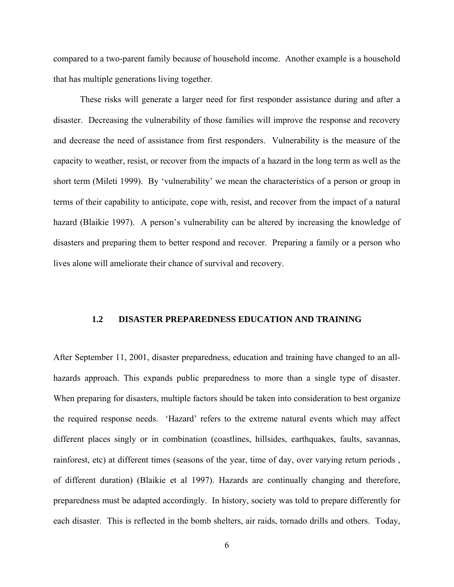<span id="page-17-0"></span>compared to a two-parent family because of household income. Another example is a household that has multiple generations living together.

These risks will generate a larger need for first responder assistance during and after a disaster. Decreasing the vulnerability of those families will improve the response and recovery and decrease the need of assistance from first responders. Vulnerability is the measure of the capacity to weather, resist, or recover from the impacts of a hazard in the long term as well as the short term (Mileti 1999). By 'vulnerability' we mean the characteristics of a person or group in terms of their capability to anticipate, cope with, resist, and recover from the impact of a natural hazard (Blaikie 1997). A person's vulnerability can be altered by increasing the knowledge of disasters and preparing them to better respond and recover. Preparing a family or a person who lives alone will ameliorate their chance of survival and recovery.

### **1.2 DISASTER PREPAREDNESS EDUCATION AND TRAINING**

After September 11, 2001, disaster preparedness, education and training have changed to an allhazards approach. This expands public preparedness to more than a single type of disaster. When preparing for disasters, multiple factors should be taken into consideration to best organize the required response needs. 'Hazard' refers to the extreme natural events which may affect different places singly or in combination (coastlines, hillsides, earthquakes, faults, savannas, rainforest, etc) at different times (seasons of the year, time of day, over varying return periods , of different duration) (Blaikie et al 1997). Hazards are continually changing and therefore, preparedness must be adapted accordingly. In history, society was told to prepare differently for each disaster. This is reflected in the bomb shelters, air raids, tornado drills and others. Today,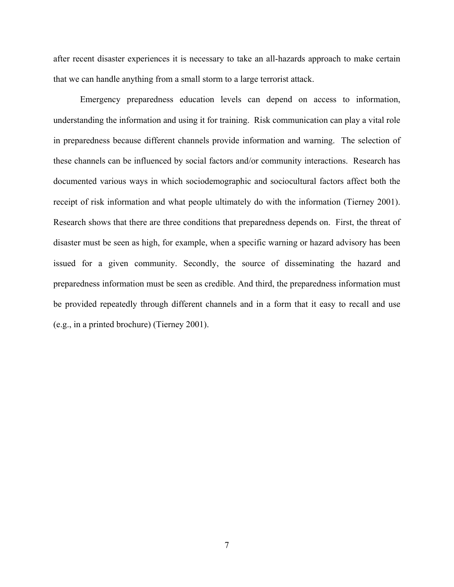after recent disaster experiences it is necessary to take an all-hazards approach to make certain that we can handle anything from a small storm to a large terrorist attack.

Emergency preparedness education levels can depend on access to information, understanding the information and using it for training. Risk communication can play a vital role in preparedness because different channels provide information and warning. The selection of these channels can be influenced by social factors and/or community interactions. Research has documented various ways in which sociodemographic and sociocultural factors affect both the receipt of risk information and what people ultimately do with the information (Tierney 2001). Research shows that there are three conditions that preparedness depends on. First, the threat of disaster must be seen as high, for example, when a specific warning or hazard advisory has been issued for a given community. Secondly, the source of disseminating the hazard and preparedness information must be seen as credible. And third, the preparedness information must be provided repeatedly through different channels and in a form that it easy to recall and use (e.g., in a printed brochure) (Tierney 2001).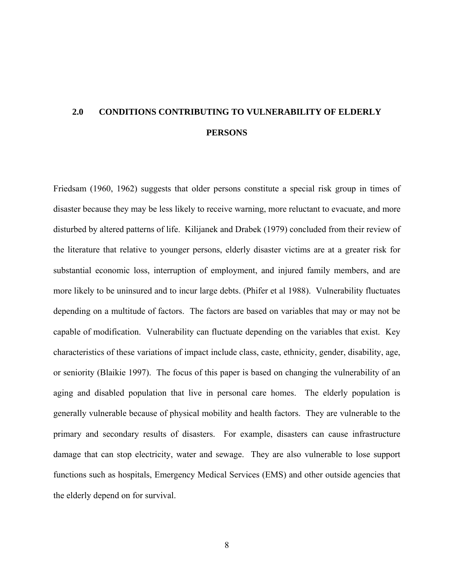# <span id="page-19-0"></span>**2.0 CONDITIONS CONTRIBUTING TO VULNERABILITY OF ELDERLY PERSONS**

Friedsam (1960, 1962) suggests that older persons constitute a special risk group in times of disaster because they may be less likely to receive warning, more reluctant to evacuate, and more disturbed by altered patterns of life. Kilijanek and Drabek (1979) concluded from their review of the literature that relative to younger persons, elderly disaster victims are at a greater risk for substantial economic loss, interruption of employment, and injured family members, and are more likely to be uninsured and to incur large debts. (Phifer et al 1988). Vulnerability fluctuates depending on a multitude of factors. The factors are based on variables that may or may not be capable of modification. Vulnerability can fluctuate depending on the variables that exist. Key characteristics of these variations of impact include class, caste, ethnicity, gender, disability, age, or seniority (Blaikie 1997). The focus of this paper is based on changing the vulnerability of an aging and disabled population that live in personal care homes. The elderly population is generally vulnerable because of physical mobility and health factors. They are vulnerable to the primary and secondary results of disasters. For example, disasters can cause infrastructure damage that can stop electricity, water and sewage. They are also vulnerable to lose support functions such as hospitals, Emergency Medical Services (EMS) and other outside agencies that the elderly depend on for survival.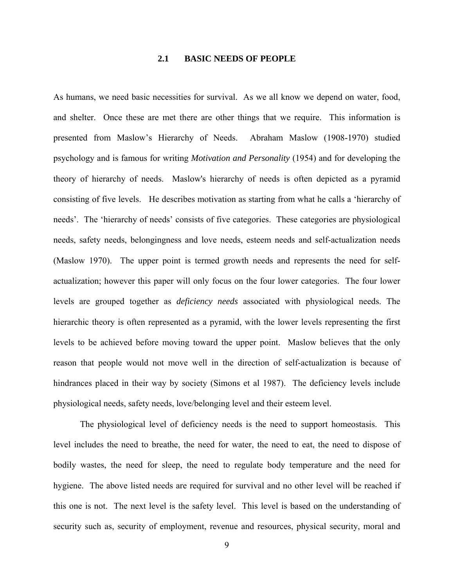## **2.1 BASIC NEEDS OF PEOPLE**

<span id="page-20-0"></span>As humans, we need basic necessities for survival. As we all know we depend on water, food, and shelter. Once these are met there are other things that we require. This information is presented from Maslow's Hierarchy of Needs. Abraham Maslow (1908-1970) studied psychology and is famous for writing *Motivation and Personality* (1954) and for developing the theory of hierarchy of needs. Maslow's hierarchy of needs is often depicted as a pyramid consisting of five levels. He describes motivation as starting from what he calls a 'hierarchy of needs'. The 'hierarchy of needs' consists of five categories. These categories are physiological needs, safety needs, belongingness and love needs, esteem needs and self-actualization needs (Maslow 1970). The upper point is termed growth needs and represents the need for selfactualization; however this paper will only focus on the four lower categories. The four lower levels are grouped together as *deficiency needs* associated with physiological needs. The hierarchic theory is often represented as a pyramid, with the lower levels representing the first levels to be achieved before moving toward the upper point. Maslow believes that the only reason that people would not move well in the direction of self-actualization is because of hindrances placed in their way by society (Simons et al 1987). The deficiency levels include physiological needs, safety needs, love/belonging level and their esteem level.

The physiological level of deficiency needs is the need to support homeostasis. This level includes the need to breathe, the need for water, the need to eat, the need to dispose of bodily wastes, the need for sleep, the need to regulate body temperature and the need for hygiene. The above listed needs are required for survival and no other level will be reached if this one is not. The next level is the safety level. This level is based on the understanding of security such as, security of employment, revenue and resources, physical security, moral and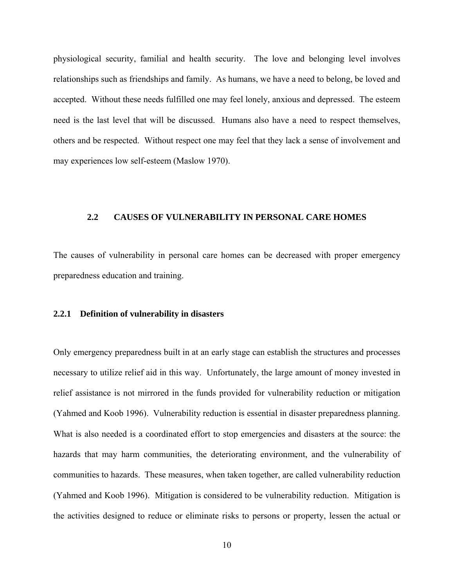<span id="page-21-0"></span>physiological security, familial and health security. The love and belonging level involves relationships such as friendships and family. As humans, we have a need to belong, be loved and accepted. Without these needs fulfilled one may feel lonely, anxious and depressed. The esteem need is the last level that will be discussed. Humans also have a need to respect themselves, others and be respected. Without respect one may feel that they lack a sense of involvement and may experiences low self-esteem (Maslow 1970).

### **2.2 CAUSES OF VULNERABILITY IN PERSONAL CARE HOMES**

The causes of vulnerability in personal care homes can be decreased with proper emergency preparedness education and training.

### **2.2.1 Definition of vulnerability in disasters**

Only emergency preparedness built in at an early stage can establish the structures and processes necessary to utilize relief aid in this way. Unfortunately, the large amount of money invested in relief assistance is not mirrored in the funds provided for vulnerability reduction or mitigation (Yahmed and Koob 1996). Vulnerability reduction is essential in disaster preparedness planning. What is also needed is a coordinated effort to stop emergencies and disasters at the source: the hazards that may harm communities, the deteriorating environment, and the vulnerability of communities to hazards. These measures, when taken together, are called vulnerability reduction (Yahmed and Koob 1996). Mitigation is considered to be vulnerability reduction. Mitigation is the activities designed to reduce or eliminate risks to persons or property, lessen the actual or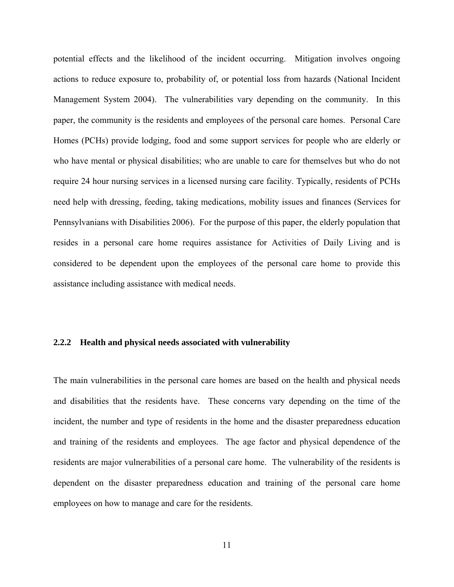<span id="page-22-0"></span>potential effects and the likelihood of the incident occurring. Mitigation involves ongoing actions to reduce exposure to, probability of, or potential loss from hazards (National Incident Management System 2004). The vulnerabilities vary depending on the community. In this paper, the community is the residents and employees of the personal care homes. Personal Care Homes (PCHs) provide lodging, food and some support services for people who are elderly or who have mental or physical disabilities; who are unable to care for themselves but who do not require 24 hour nursing services in a licensed nursing care facility. Typically, residents of PCHs need help with dressing, feeding, taking medications, mobility issues and finances (Services for Pennsylvanians with Disabilities 2006). For the purpose of this paper, the elderly population that resides in a personal care home requires assistance for Activities of Daily Living and is considered to be dependent upon the employees of the personal care home to provide this assistance including assistance with medical needs.

## **2.2.2 Health and physical needs associated with vulnerability**

The main vulnerabilities in the personal care homes are based on the health and physical needs and disabilities that the residents have. These concerns vary depending on the time of the incident, the number and type of residents in the home and the disaster preparedness education and training of the residents and employees. The age factor and physical dependence of the residents are major vulnerabilities of a personal care home. The vulnerability of the residents is dependent on the disaster preparedness education and training of the personal care home employees on how to manage and care for the residents.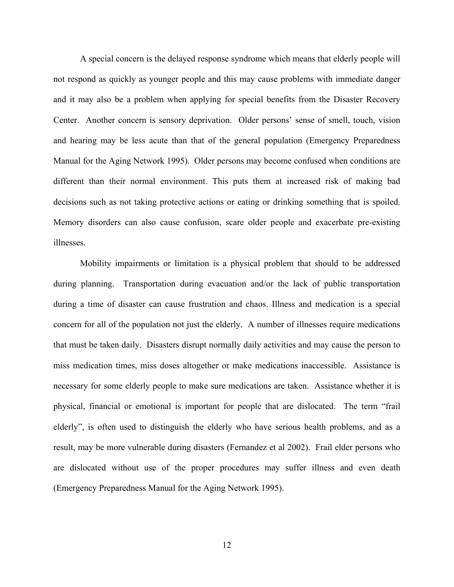A special concern is the delayed response syndrome which means that elderly people will not respond as quickly as younger people and this may cause problems with immediate danger and it may also be a problem when applying for special benefits from the Disaster Recovery Center. Another concern is sensory deprivation. Older persons' sense of smell, touch, vision and hearing may be less acute than that of the general population (Emergency Preparedness Manual for the Aging Network 1995). Older persons may become confused when conditions are different than their normal environment. This puts them at increased risk of making bad decisions such as not taking protective actions or eating or drinking something that is spoiled. Memory disorders can also cause confusion, scare older people and exacerbate pre-existing illnesses.

Mobility impairments or limitation is a physical problem that should to be addressed during planning. Transportation during evacuation and/or the lack of public transportation during a time of disaster can cause frustration and chaos. Illness and medication is a special concern for all of the population not just the elderly. A number of illnesses require medications that must be taken daily. Disasters disrupt normally daily activities and may cause the person to miss medication times, miss doses altogether or make medications inaccessible. Assistance is necessary for some elderly people to make sure medications are taken. Assistance whether it is physical, financial or emotional is important for people that are dislocated. The term "frail elderly", is often used to distinguish the elderly who have serious health problems, and as a result, may be more vulnerable during disasters (Fernandez et al 2002). Frail elder persons who are dislocated without use of the proper procedures may suffer illness and even death (Emergency Preparedness Manual for the Aging Network 1995).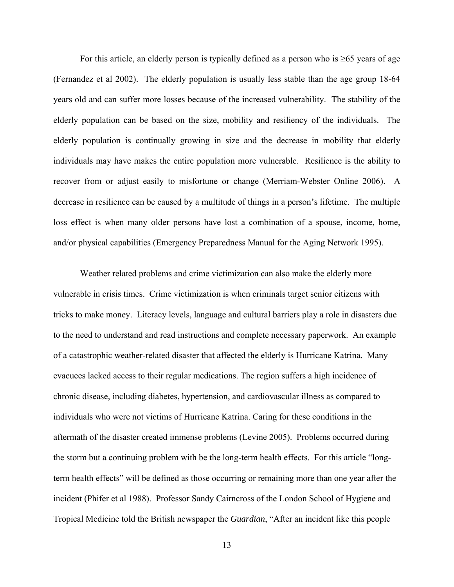For this article, an elderly person is typically defined as a person who is  $\geq 65$  years of age (Fernandez et al 2002). The elderly population is usually less stable than the age group 18-64 years old and can suffer more losses because of the increased vulnerability. The stability of the elderly population can be based on the size, mobility and resiliency of the individuals. The elderly population is continually growing in size and the decrease in mobility that elderly individuals may have makes the entire population more vulnerable. Resilience is the ability to recover from or adjust easily to misfortune or change (Merriam-Webster Online 2006). A decrease in resilience can be caused by a multitude of things in a person's lifetime. The multiple loss effect is when many older persons have lost a combination of a spouse, income, home, and/or physical capabilities (Emergency Preparedness Manual for the Aging Network 1995).

Weather related problems and crime victimization can also make the elderly more vulnerable in crisis times. Crime victimization is when criminals target senior citizens with tricks to make money. Literacy levels, language and cultural barriers play a role in disasters due to the need to understand and read instructions and complete necessary paperwork. An example of a catastrophic weather-related disaster that affected the elderly is Hurricane Katrina. Many evacuees lacked access to their regular medications. The region suffers a high incidence of chronic disease, including diabetes, hypertension, and cardiovascular illness as compared to individuals who were not victims of Hurricane Katrina. Caring for these conditions in the aftermath of the disaster created immense problems (Levine 2005). Problems occurred during the storm but a continuing problem with be the long-term health effects. For this article "longterm health effects" will be defined as those occurring or remaining more than one year after the incident (Phifer et al 1988). Professor Sandy Cairncross of the London School of Hygiene and Tropical Medicine told the British newspaper the *Guardian*, "After an incident like this people

13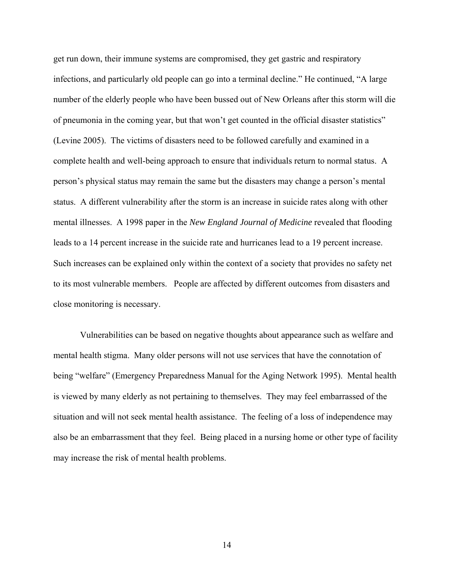get run down, their immune systems are compromised, they get gastric and respiratory infections, and particularly old people can go into a terminal decline." He continued, "A large number of the elderly people who have been bussed out of New Orleans after this storm will die of pneumonia in the coming year, but that won't get counted in the official disaster statistics" (Levine 2005). The victims of disasters need to be followed carefully and examined in a complete health and well-being approach to ensure that individuals return to normal status. A person's physical status may remain the same but the disasters may change a person's mental status. A different vulnerability after the storm is an increase in suicide rates along with other mental illnesses. A 1998 paper in the *New England Journal of Medicine* revealed that flooding leads to a 14 percent increase in the suicide rate and hurricanes lead to a 19 percent increase. Such increases can be explained only within the context of a society that provides no safety net to its most vulnerable members. People are affected by different outcomes from disasters and close monitoring is necessary.

Vulnerabilities can be based on negative thoughts about appearance such as welfare and mental health stigma. Many older persons will not use services that have the connotation of being "welfare" (Emergency Preparedness Manual for the Aging Network 1995). Mental health is viewed by many elderly as not pertaining to themselves. They may feel embarrassed of the situation and will not seek mental health assistance. The feeling of a loss of independence may also be an embarrassment that they feel. Being placed in a nursing home or other type of facility may increase the risk of mental health problems.

14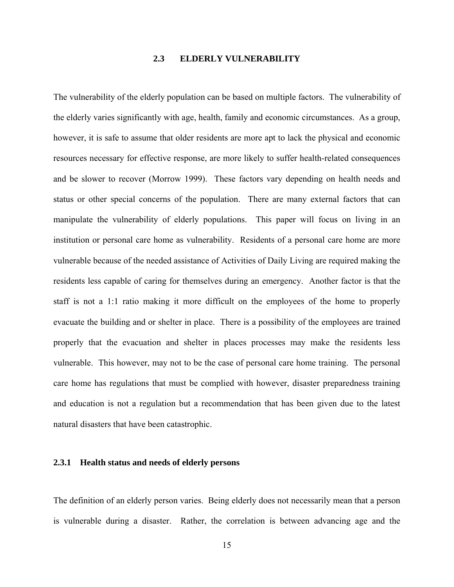## **2.3 ELDERLY VULNERABILITY**

<span id="page-26-0"></span>The vulnerability of the elderly population can be based on multiple factors. The vulnerability of the elderly varies significantly with age, health, family and economic circumstances. As a group, however, it is safe to assume that older residents are more apt to lack the physical and economic resources necessary for effective response, are more likely to suffer health-related consequences and be slower to recover (Morrow 1999). These factors vary depending on health needs and status or other special concerns of the population. There are many external factors that can manipulate the vulnerability of elderly populations. This paper will focus on living in an institution or personal care home as vulnerability. Residents of a personal care home are more vulnerable because of the needed assistance of Activities of Daily Living are required making the residents less capable of caring for themselves during an emergency. Another factor is that the staff is not a 1:1 ratio making it more difficult on the employees of the home to properly evacuate the building and or shelter in place. There is a possibility of the employees are trained properly that the evacuation and shelter in places processes may make the residents less vulnerable. This however, may not to be the case of personal care home training. The personal care home has regulations that must be complied with however, disaster preparedness training and education is not a regulation but a recommendation that has been given due to the latest natural disasters that have been catastrophic.

## **2.3.1 Health status and needs of elderly persons**

The definition of an elderly person varies. Being elderly does not necessarily mean that a person is vulnerable during a disaster. Rather, the correlation is between advancing age and the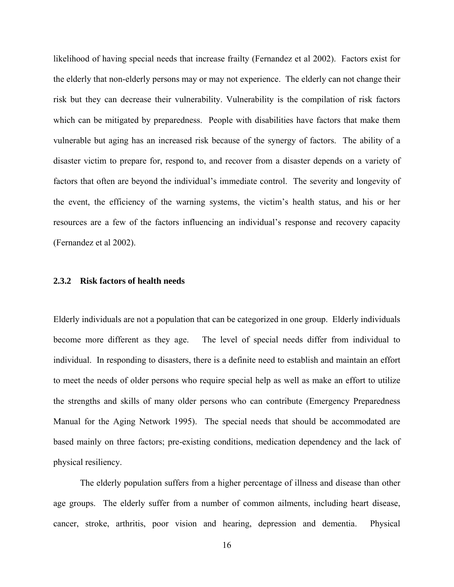<span id="page-27-0"></span>likelihood of having special needs that increase frailty (Fernandez et al 2002). Factors exist for the elderly that non-elderly persons may or may not experience. The elderly can not change their risk but they can decrease their vulnerability. Vulnerability is the compilation of risk factors which can be mitigated by preparedness. People with disabilities have factors that make them vulnerable but aging has an increased risk because of the synergy of factors. The ability of a disaster victim to prepare for, respond to, and recover from a disaster depends on a variety of factors that often are beyond the individual's immediate control. The severity and longevity of the event, the efficiency of the warning systems, the victim's health status, and his or her resources are a few of the factors influencing an individual's response and recovery capacity (Fernandez et al 2002).

# **2.3.2 Risk factors of health needs**

Elderly individuals are not a population that can be categorized in one group. Elderly individuals become more different as they age. The level of special needs differ from individual to individual. In responding to disasters, there is a definite need to establish and maintain an effort to meet the needs of older persons who require special help as well as make an effort to utilize the strengths and skills of many older persons who can contribute (Emergency Preparedness Manual for the Aging Network 1995). The special needs that should be accommodated are based mainly on three factors; pre-existing conditions, medication dependency and the lack of physical resiliency.

The elderly population suffers from a higher percentage of illness and disease than other age groups. The elderly suffer from a number of common ailments, including heart disease, cancer, stroke, arthritis, poor vision and hearing, depression and dementia. Physical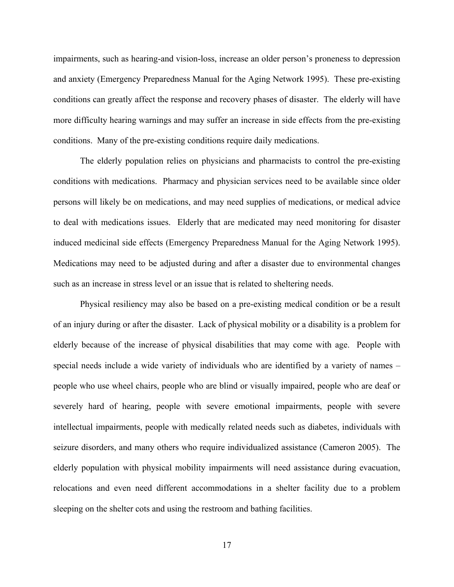impairments, such as hearing-and vision-loss, increase an older person's proneness to depression and anxiety (Emergency Preparedness Manual for the Aging Network 1995). These pre-existing conditions can greatly affect the response and recovery phases of disaster. The elderly will have more difficulty hearing warnings and may suffer an increase in side effects from the pre-existing conditions. Many of the pre-existing conditions require daily medications.

The elderly population relies on physicians and pharmacists to control the pre-existing conditions with medications. Pharmacy and physician services need to be available since older persons will likely be on medications, and may need supplies of medications, or medical advice to deal with medications issues. Elderly that are medicated may need monitoring for disaster induced medicinal side effects (Emergency Preparedness Manual for the Aging Network 1995). Medications may need to be adjusted during and after a disaster due to environmental changes such as an increase in stress level or an issue that is related to sheltering needs.

Physical resiliency may also be based on a pre-existing medical condition or be a result of an injury during or after the disaster. Lack of physical mobility or a disability is a problem for elderly because of the increase of physical disabilities that may come with age. People with special needs include a wide variety of individuals who are identified by a variety of names – people who use wheel chairs, people who are blind or visually impaired, people who are deaf or severely hard of hearing, people with severe emotional impairments, people with severe intellectual impairments, people with medically related needs such as diabetes, individuals with seizure disorders, and many others who require individualized assistance (Cameron 2005). The elderly population with physical mobility impairments will need assistance during evacuation, relocations and even need different accommodations in a shelter facility due to a problem sleeping on the shelter cots and using the restroom and bathing facilities.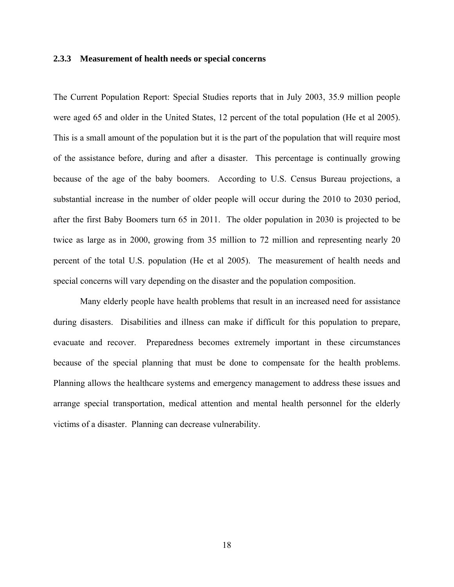### <span id="page-29-0"></span>**2.3.3 Measurement of health needs or special concerns**

The Current Population Report: Special Studies reports that in July 2003, 35.9 million people were aged 65 and older in the United States, 12 percent of the total population (He et al 2005). This is a small amount of the population but it is the part of the population that will require most of the assistance before, during and after a disaster. This percentage is continually growing because of the age of the baby boomers. According to U.S. Census Bureau projections, a substantial increase in the number of older people will occur during the 2010 to 2030 period, after the first Baby Boomers turn 65 in 2011. The older population in 2030 is projected to be twice as large as in 2000, growing from 35 million to 72 million and representing nearly 20 percent of the total U.S. population (He et al 2005). The measurement of health needs and special concerns will vary depending on the disaster and the population composition.

Many elderly people have health problems that result in an increased need for assistance during disasters. Disabilities and illness can make if difficult for this population to prepare, evacuate and recover. Preparedness becomes extremely important in these circumstances because of the special planning that must be done to compensate for the health problems. Planning allows the healthcare systems and emergency management to address these issues and arrange special transportation, medical attention and mental health personnel for the elderly victims of a disaster. Planning can decrease vulnerability.

18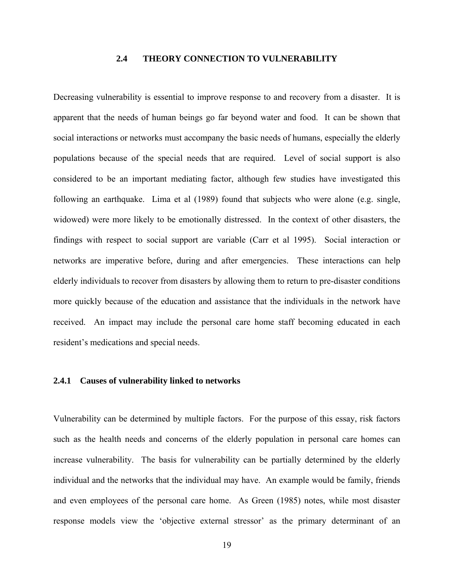## **2.4 THEORY CONNECTION TO VULNERABILITY**

<span id="page-30-0"></span>Decreasing vulnerability is essential to improve response to and recovery from a disaster. It is apparent that the needs of human beings go far beyond water and food. It can be shown that social interactions or networks must accompany the basic needs of humans, especially the elderly populations because of the special needs that are required. Level of social support is also considered to be an important mediating factor, although few studies have investigated this following an earthquake. Lima et al (1989) found that subjects who were alone (e.g. single, widowed) were more likely to be emotionally distressed. In the context of other disasters, the findings with respect to social support are variable (Carr et al 1995). Social interaction or networks are imperative before, during and after emergencies. These interactions can help elderly individuals to recover from disasters by allowing them to return to pre-disaster conditions more quickly because of the education and assistance that the individuals in the network have received. An impact may include the personal care home staff becoming educated in each resident's medications and special needs.

### **2.4.1 Causes of vulnerability linked to networks**

Vulnerability can be determined by multiple factors. For the purpose of this essay, risk factors such as the health needs and concerns of the elderly population in personal care homes can increase vulnerability. The basis for vulnerability can be partially determined by the elderly individual and the networks that the individual may have. An example would be family, friends and even employees of the personal care home. As Green (1985) notes, while most disaster response models view the 'objective external stressor' as the primary determinant of an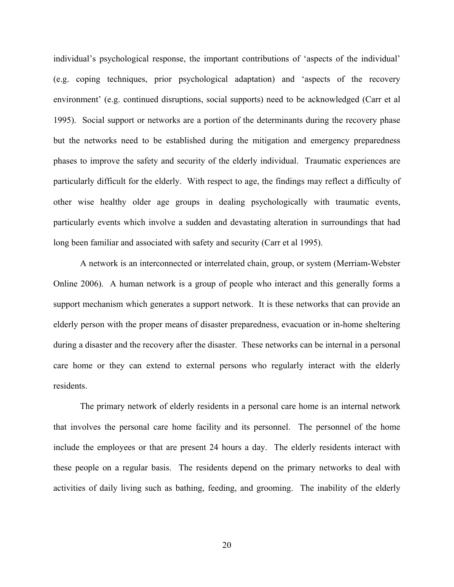individual's psychological response, the important contributions of 'aspects of the individual' (e.g. coping techniques, prior psychological adaptation) and 'aspects of the recovery environment' (e.g. continued disruptions, social supports) need to be acknowledged (Carr et al 1995). Social support or networks are a portion of the determinants during the recovery phase but the networks need to be established during the mitigation and emergency preparedness phases to improve the safety and security of the elderly individual. Traumatic experiences are particularly difficult for the elderly. With respect to age, the findings may reflect a difficulty of other wise healthy older age groups in dealing psychologically with traumatic events, particularly events which involve a sudden and devastating alteration in surroundings that had long been familiar and associated with safety and security (Carr et al 1995).

A network is an interconnected or interrelated chain, group, or system (Merriam-Webster Online 2006). A human network is a group of people who interact and this generally forms a support mechanism which generates a support network. It is these networks that can provide an elderly person with the proper means of disaster preparedness, evacuation or in-home sheltering during a disaster and the recovery after the disaster. These networks can be internal in a personal care home or they can extend to external persons who regularly interact with the elderly residents.

The primary network of elderly residents in a personal care home is an internal network that involves the personal care home facility and its personnel. The personnel of the home include the employees or that are present 24 hours a day. The elderly residents interact with these people on a regular basis. The residents depend on the primary networks to deal with activities of daily living such as bathing, feeding, and grooming. The inability of the elderly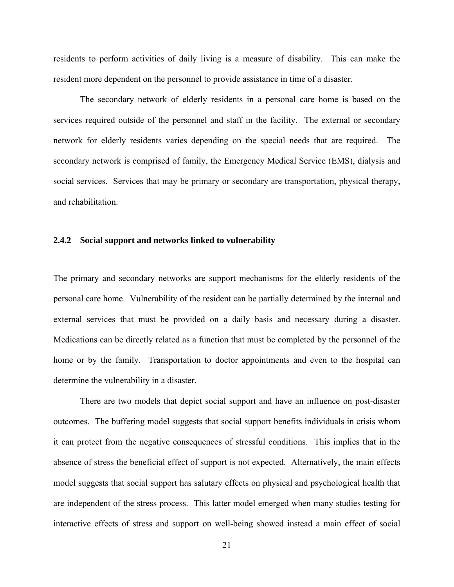<span id="page-32-0"></span>residents to perform activities of daily living is a measure of disability. This can make the resident more dependent on the personnel to provide assistance in time of a disaster.

The secondary network of elderly residents in a personal care home is based on the services required outside of the personnel and staff in the facility. The external or secondary network for elderly residents varies depending on the special needs that are required. The secondary network is comprised of family, the Emergency Medical Service (EMS), dialysis and social services. Services that may be primary or secondary are transportation, physical therapy, and rehabilitation.

### **2.4.2 Social support and networks linked to vulnerability**

The primary and secondary networks are support mechanisms for the elderly residents of the personal care home. Vulnerability of the resident can be partially determined by the internal and external services that must be provided on a daily basis and necessary during a disaster. Medications can be directly related as a function that must be completed by the personnel of the home or by the family. Transportation to doctor appointments and even to the hospital can determine the vulnerability in a disaster.

There are two models that depict social support and have an influence on post-disaster outcomes. The buffering model suggests that social support benefits individuals in crisis whom it can protect from the negative consequences of stressful conditions. This implies that in the absence of stress the beneficial effect of support is not expected. Alternatively, the main effects model suggests that social support has salutary effects on physical and psychological health that are independent of the stress process. This latter model emerged when many studies testing for interactive effects of stress and support on well-being showed instead a main effect of social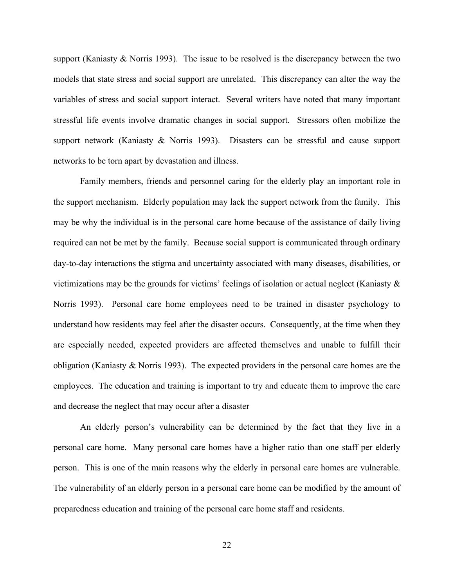support (Kaniasty & Norris 1993). The issue to be resolved is the discrepancy between the two models that state stress and social support are unrelated. This discrepancy can alter the way the variables of stress and social support interact. Several writers have noted that many important stressful life events involve dramatic changes in social support. Stressors often mobilize the support network (Kaniasty & Norris 1993). Disasters can be stressful and cause support networks to be torn apart by devastation and illness.

Family members, friends and personnel caring for the elderly play an important role in the support mechanism. Elderly population may lack the support network from the family. This may be why the individual is in the personal care home because of the assistance of daily living required can not be met by the family. Because social support is communicated through ordinary day-to-day interactions the stigma and uncertainty associated with many diseases, disabilities, or victimizations may be the grounds for victims' feelings of isolation or actual neglect (Kaniasty  $\&$ Norris 1993). Personal care home employees need to be trained in disaster psychology to understand how residents may feel after the disaster occurs. Consequently, at the time when they are especially needed, expected providers are affected themselves and unable to fulfill their obligation (Kaniasty & Norris 1993). The expected providers in the personal care homes are the employees. The education and training is important to try and educate them to improve the care and decrease the neglect that may occur after a disaster

An elderly person's vulnerability can be determined by the fact that they live in a personal care home. Many personal care homes have a higher ratio than one staff per elderly person. This is one of the main reasons why the elderly in personal care homes are vulnerable. The vulnerability of an elderly person in a personal care home can be modified by the amount of preparedness education and training of the personal care home staff and residents.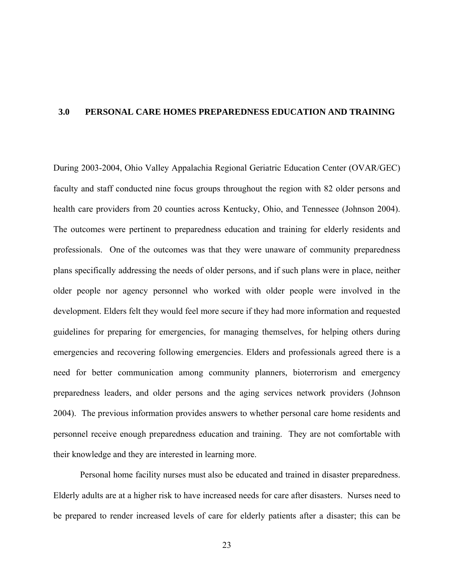### <span id="page-34-0"></span>**3.0 PERSONAL CARE HOMES PREPAREDNESS EDUCATION AND TRAINING**

During 2003-2004, Ohio Valley Appalachia Regional Geriatric Education Center (OVAR/GEC) faculty and staff conducted nine focus groups throughout the region with 82 older persons and health care providers from 20 counties across Kentucky, Ohio, and Tennessee (Johnson 2004). The outcomes were pertinent to preparedness education and training for elderly residents and professionals. One of the outcomes was that they were unaware of community preparedness plans specifically addressing the needs of older persons, and if such plans were in place, neither older people nor agency personnel who worked with older people were involved in the development. Elders felt they would feel more secure if they had more information and requested guidelines for preparing for emergencies, for managing themselves, for helping others during emergencies and recovering following emergencies. Elders and professionals agreed there is a need for better communication among community planners, bioterrorism and emergency preparedness leaders, and older persons and the aging services network providers (Johnson 2004). The previous information provides answers to whether personal care home residents and personnel receive enough preparedness education and training. They are not comfortable with their knowledge and they are interested in learning more.

Personal home facility nurses must also be educated and trained in disaster preparedness. Elderly adults are at a higher risk to have increased needs for care after disasters. Nurses need to be prepared to render increased levels of care for elderly patients after a disaster; this can be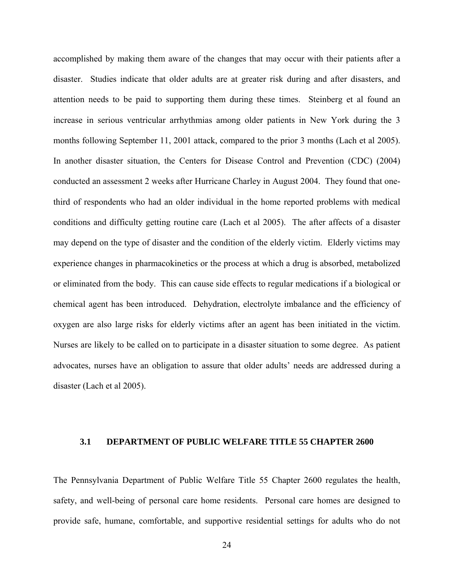<span id="page-35-0"></span>accomplished by making them aware of the changes that may occur with their patients after a disaster. Studies indicate that older adults are at greater risk during and after disasters, and attention needs to be paid to supporting them during these times. Steinberg et al found an increase in serious ventricular arrhythmias among older patients in New York during the 3 months following September 11, 2001 attack, compared to the prior 3 months (Lach et al 2005). In another disaster situation, the Centers for Disease Control and Prevention (CDC) (2004) conducted an assessment 2 weeks after Hurricane Charley in August 2004. They found that onethird of respondents who had an older individual in the home reported problems with medical conditions and difficulty getting routine care (Lach et al 2005). The after affects of a disaster may depend on the type of disaster and the condition of the elderly victim. Elderly victims may experience changes in pharmacokinetics or the process at which a drug is absorbed, metabolized or eliminated from the body. This can cause side effects to regular medications if a biological or chemical agent has been introduced. Dehydration, electrolyte imbalance and the efficiency of oxygen are also large risks for elderly victims after an agent has been initiated in the victim. Nurses are likely to be called on to participate in a disaster situation to some degree. As patient advocates, nurses have an obligation to assure that older adults' needs are addressed during a disaster (Lach et al 2005).

# **3.1 DEPARTMENT OF PUBLIC WELFARE TITLE 55 CHAPTER 2600**

The Pennsylvania Department of Public Welfare Title 55 Chapter 2600 regulates the health, safety, and well-being of personal care home residents. Personal care homes are designed to provide safe, humane, comfortable, and supportive residential settings for adults who do not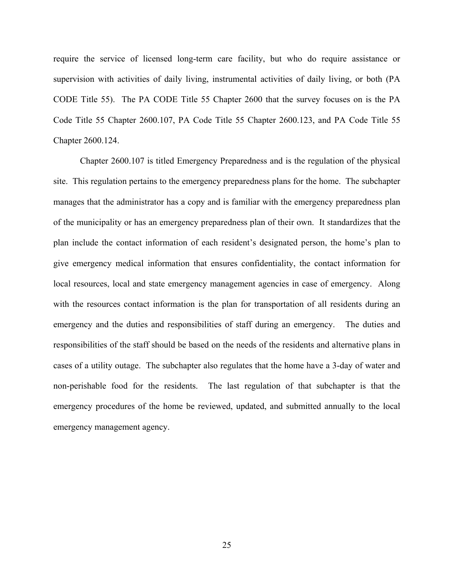require the service of licensed long-term care facility, but who do require assistance or supervision with activities of daily living, instrumental activities of daily living, or both (PA CODE Title 55). The PA CODE Title 55 Chapter 2600 that the survey focuses on is the PA Code Title 55 Chapter 2600.107, PA Code Title 55 Chapter 2600.123, and PA Code Title 55 Chapter 2600.124.

Chapter 2600.107 is titled Emergency Preparedness and is the regulation of the physical site. This regulation pertains to the emergency preparedness plans for the home. The subchapter manages that the administrator has a copy and is familiar with the emergency preparedness plan of the municipality or has an emergency preparedness plan of their own. It standardizes that the plan include the contact information of each resident's designated person, the home's plan to give emergency medical information that ensures confidentiality, the contact information for local resources, local and state emergency management agencies in case of emergency. Along with the resources contact information is the plan for transportation of all residents during an emergency and the duties and responsibilities of staff during an emergency. The duties and responsibilities of the staff should be based on the needs of the residents and alternative plans in cases of a utility outage. The subchapter also regulates that the home have a 3-day of water and non-perishable food for the residents. The last regulation of that subchapter is that the emergency procedures of the home be reviewed, updated, and submitted annually to the local emergency management agency.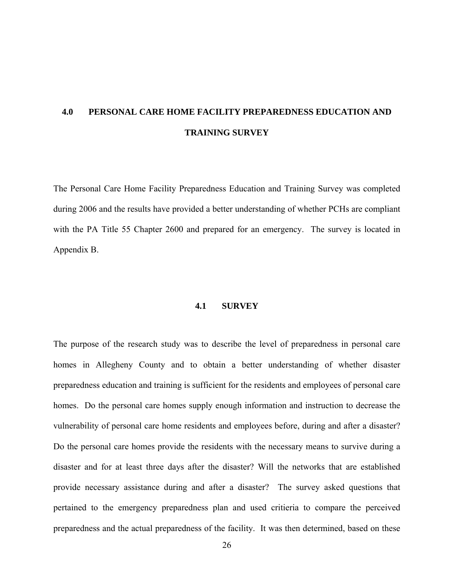# **4.0 PERSONAL CARE HOME FACILITY PREPAREDNESS EDUCATION AND TRAINING SURVEY**

The Personal Care Home Facility Preparedness Education and Training Survey was completed during 2006 and the results have provided a better understanding of whether PCHs are compliant with the PA Title 55 Chapter 2600 and prepared for an emergency. The survey is located in Appendix B.

#### **4.1 SURVEY**

The purpose of the research study was to describe the level of preparedness in personal care homes in Allegheny County and to obtain a better understanding of whether disaster preparedness education and training is sufficient for the residents and employees of personal care homes. Do the personal care homes supply enough information and instruction to decrease the vulnerability of personal care home residents and employees before, during and after a disaster? Do the personal care homes provide the residents with the necessary means to survive during a disaster and for at least three days after the disaster? Will the networks that are established provide necessary assistance during and after a disaster? The survey asked questions that pertained to the emergency preparedness plan and used critieria to compare the perceived preparedness and the actual preparedness of the facility. It was then determined, based on these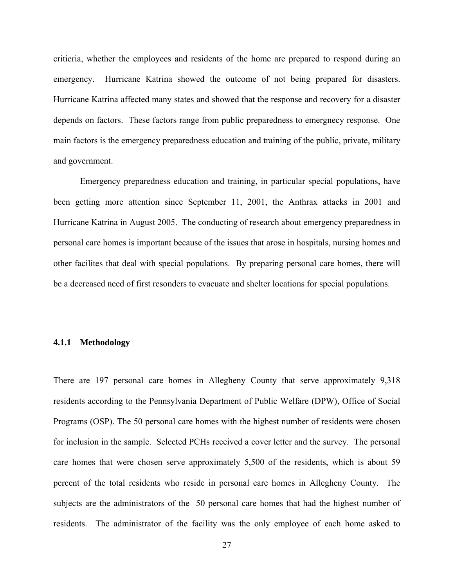critieria, whether the employees and residents of the home are prepared to respond during an emergency. Hurricane Katrina showed the outcome of not being prepared for disasters. Hurricane Katrina affected many states and showed that the response and recovery for a disaster depends on factors. These factors range from public preparedness to emergnecy response. One main factors is the emergency preparedness education and training of the public, private, military and government.

Emergency preparedness education and training, in particular special populations, have been getting more attention since September 11, 2001, the Anthrax attacks in 2001 and Hurricane Katrina in August 2005. The conducting of research about emergency preparedness in personal care homes is important because of the issues that arose in hospitals, nursing homes and other facilites that deal with special populations. By preparing personal care homes, there will be a decreased need of first resonders to evacuate and shelter locations for special populations.

#### **4.1.1 Methodology**

There are 197 personal care homes in Allegheny County that serve approximately 9,318 residents according to the Pennsylvania Department of Public Welfare (DPW), Office of Social Programs (OSP). The 50 personal care homes with the highest number of residents were chosen for inclusion in the sample. Selected PCHs received a cover letter and the survey. The personal care homes that were chosen serve approximately 5,500 of the residents, which is about 59 percent of the total residents who reside in personal care homes in Allegheny County. The subjects are the administrators of the 50 personal care homes that had the highest number of residents. The administrator of the facility was the only employee of each home asked to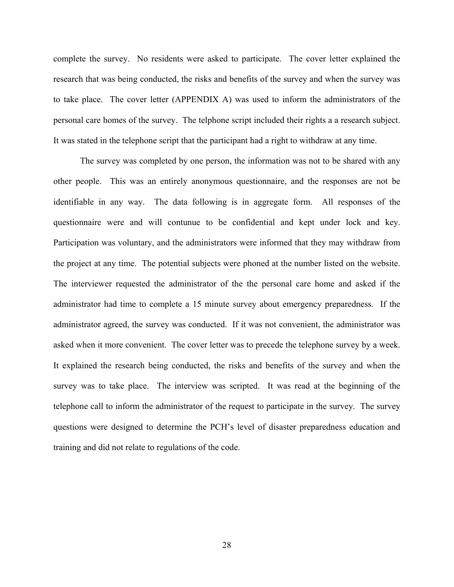complete the survey. No residents were asked to participate. The cover letter explained the research that was being conducted, the risks and benefits of the survey and when the survey was to take place. The cover letter (APPENDIX A) was used to inform the administrators of the personal care homes of the survey. The telphone script included their rights a a research subject. It was stated in the telephone script that the participant had a right to withdraw at any time.

The survey was completed by one person, the information was not to be shared with any other people. This was an entirely anonymous questionnaire, and the responses are not be identifiable in any way. The data following is in aggregate form. All responses of the questionnaire were and will contunue to be confidential and kept under lock and key. Participation was voluntary, and the administrators were informed that they may withdraw from the project at any time. The potential subjects were phoned at the number listed on the website. The interviewer requested the administrator of the the personal care home and asked if the administrator had time to complete a 15 minute survey about emergency preparedness. If the administrator agreed, the survey was conducted. If it was not convenient, the administrator was asked when it more convenient. The cover letter was to precede the telephone survey by a week. It explained the research being conducted, the risks and benefits of the survey and when the survey was to take place. The interview was scripted. It was read at the beginning of the telephone call to inform the administrator of the request to participate in the survey. The survey questions were designed to determine the PCH's level of disaster preparedness education and training and did not relate to regulations of the code.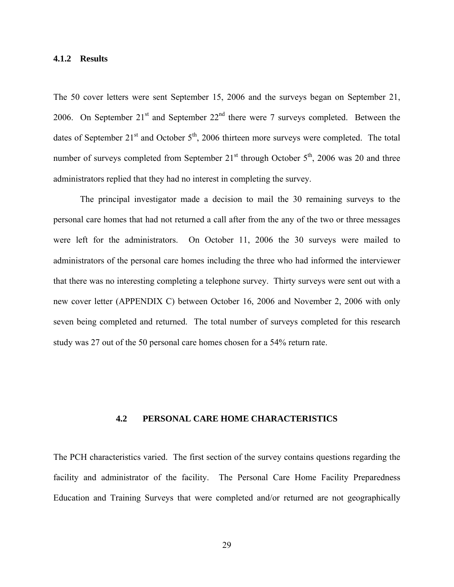#### **4.1.2 Results**

The 50 cover letters were sent September 15, 2006 and the surveys began on September 21, 2006. On September  $21<sup>st</sup>$  and September  $22<sup>nd</sup>$  there were 7 surveys completed. Between the dates of September  $21^{st}$  and October  $5^{th}$ , 2006 thirteen more surveys were completed. The total number of surveys completed from September  $21<sup>st</sup>$  through October  $5<sup>th</sup>$ , 2006 was 20 and three administrators replied that they had no interest in completing the survey.

The principal investigator made a decision to mail the 30 remaining surveys to the personal care homes that had not returned a call after from the any of the two or three messages were left for the administrators. On October 11, 2006 the 30 surveys were mailed to administrators of the personal care homes including the three who had informed the interviewer that there was no interesting completing a telephone survey. Thirty surveys were sent out with a new cover letter (APPENDIX C) between October 16, 2006 and November 2, 2006 with only seven being completed and returned. The total number of surveys completed for this research study was 27 out of the 50 personal care homes chosen for a 54% return rate.

#### **4.2 PERSONAL CARE HOME CHARACTERISTICS**

The PCH characteristics varied. The first section of the survey contains questions regarding the facility and administrator of the facility. The Personal Care Home Facility Preparedness Education and Training Surveys that were completed and/or returned are not geographically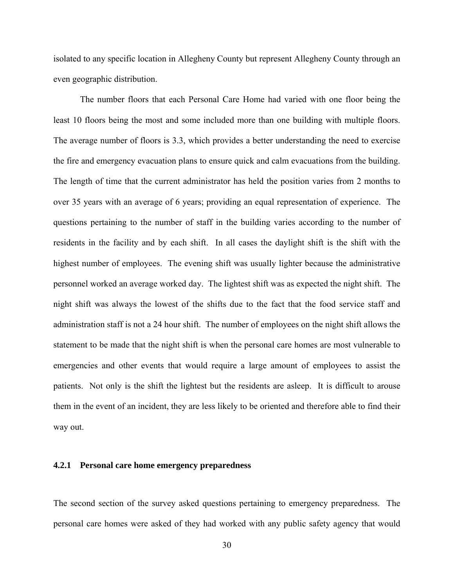isolated to any specific location in Allegheny County but represent Allegheny County through an even geographic distribution.

The number floors that each Personal Care Home had varied with one floor being the least 10 floors being the most and some included more than one building with multiple floors. The average number of floors is 3.3, which provides a better understanding the need to exercise the fire and emergency evacuation plans to ensure quick and calm evacuations from the building. The length of time that the current administrator has held the position varies from 2 months to over 35 years with an average of 6 years; providing an equal representation of experience. The questions pertaining to the number of staff in the building varies according to the number of residents in the facility and by each shift. In all cases the daylight shift is the shift with the highest number of employees. The evening shift was usually lighter because the administrative personnel worked an average worked day. The lightest shift was as expected the night shift. The night shift was always the lowest of the shifts due to the fact that the food service staff and administration staff is not a 24 hour shift. The number of employees on the night shift allows the statement to be made that the night shift is when the personal care homes are most vulnerable to emergencies and other events that would require a large amount of employees to assist the patients. Not only is the shift the lightest but the residents are asleep. It is difficult to arouse them in the event of an incident, they are less likely to be oriented and therefore able to find their way out.

#### **4.2.1 Personal care home emergency preparedness**

The second section of the survey asked questions pertaining to emergency preparedness. The personal care homes were asked of they had worked with any public safety agency that would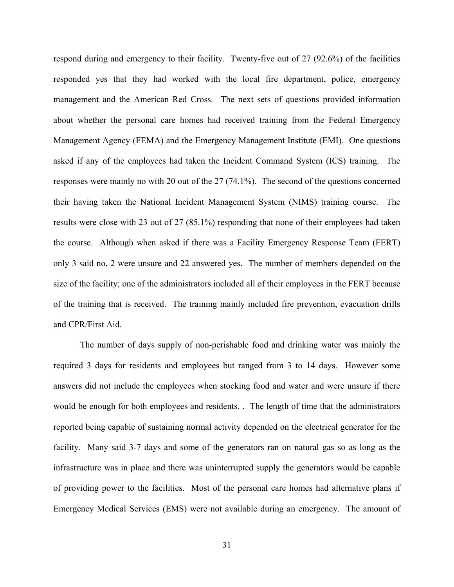respond during and emergency to their facility. Twenty-five out of 27 (92.6%) of the facilities responded yes that they had worked with the local fire department, police, emergency management and the American Red Cross. The next sets of questions provided information about whether the personal care homes had received training from the Federal Emergency Management Agency (FEMA) and the Emergency Management Institute (EMI). One questions asked if any of the employees had taken the Incident Command System (ICS) training. The responses were mainly no with 20 out of the 27 (74.1%). The second of the questions concerned their having taken the National Incident Management System (NIMS) training course. The results were close with 23 out of 27 (85.1%) responding that none of their employees had taken the course. Although when asked if there was a Facility Emergency Response Team (FERT) only 3 said no, 2 were unsure and 22 answered yes. The number of members depended on the size of the facility; one of the administrators included all of their employees in the FERT because of the training that is received. The training mainly included fire prevention, evacuation drills and CPR/First Aid.

The number of days supply of non-perishable food and drinking water was mainly the required 3 days for residents and employees but ranged from 3 to 14 days. However some answers did not include the employees when stocking food and water and were unsure if there would be enough for both employees and residents. . The length of time that the administrators reported being capable of sustaining normal activity depended on the electrical generator for the facility. Many said 3-7 days and some of the generators ran on natural gas so as long as the infrastructure was in place and there was uninterrupted supply the generators would be capable of providing power to the facilities. Most of the personal care homes had alternative plans if Emergency Medical Services (EMS) were not available during an emergency. The amount of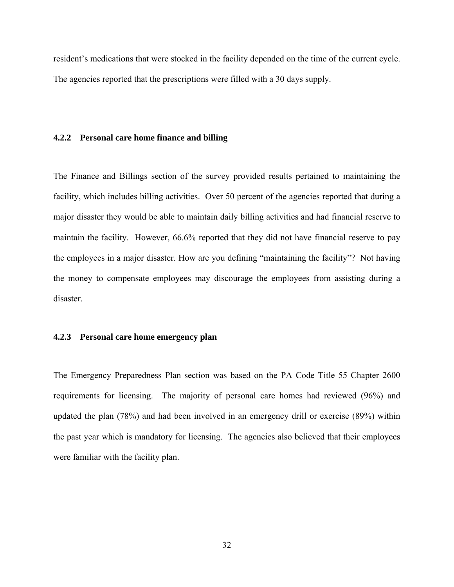resident's medications that were stocked in the facility depended on the time of the current cycle. The agencies reported that the prescriptions were filled with a 30 days supply.

#### **4.2.2 Personal care home finance and billing**

The Finance and Billings section of the survey provided results pertained to maintaining the facility, which includes billing activities. Over 50 percent of the agencies reported that during a major disaster they would be able to maintain daily billing activities and had financial reserve to maintain the facility. However, 66.6% reported that they did not have financial reserve to pay the employees in a major disaster. How are you defining "maintaining the facility"? Not having the money to compensate employees may discourage the employees from assisting during a disaster.

#### **4.2.3 Personal care home emergency plan**

The Emergency Preparedness Plan section was based on the PA Code Title 55 Chapter 2600 requirements for licensing. The majority of personal care homes had reviewed (96%) and updated the plan (78%) and had been involved in an emergency drill or exercise (89%) within the past year which is mandatory for licensing. The agencies also believed that their employees were familiar with the facility plan.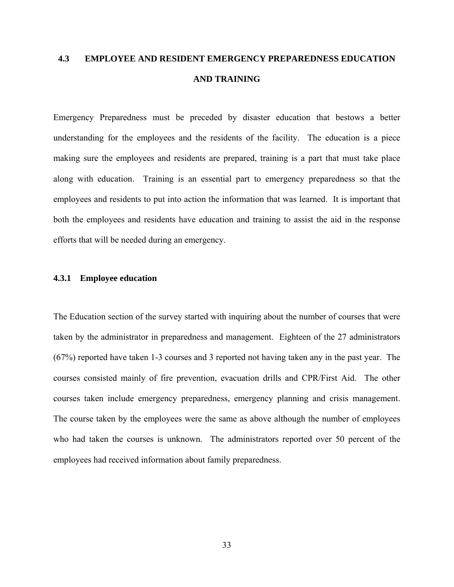# **4.3 EMPLOYEE AND RESIDENT EMERGENCY PREPAREDNESS EDUCATION AND TRAINING**

Emergency Preparedness must be preceded by disaster education that bestows a better understanding for the employees and the residents of the facility. The education is a piece making sure the employees and residents are prepared, training is a part that must take place along with education. Training is an essential part to emergency preparedness so that the employees and residents to put into action the information that was learned. It is important that both the employees and residents have education and training to assist the aid in the response efforts that will be needed during an emergency.

#### **4.3.1 Employee education**

The Education section of the survey started with inquiring about the number of courses that were taken by the administrator in preparedness and management. Eighteen of the 27 administrators (67%) reported have taken 1-3 courses and 3 reported not having taken any in the past year. The courses consisted mainly of fire prevention, evacuation drills and CPR/First Aid. The other courses taken include emergency preparedness, emergency planning and crisis management. The course taken by the employees were the same as above although the number of employees who had taken the courses is unknown. The administrators reported over 50 percent of the employees had received information about family preparedness.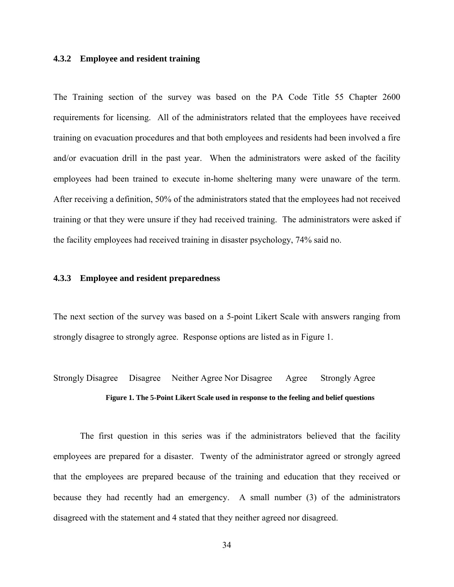#### **4.3.2 Employee and resident training**

The Training section of the survey was based on the PA Code Title 55 Chapter 2600 requirements for licensing. All of the administrators related that the employees have received training on evacuation procedures and that both employees and residents had been involved a fire and/or evacuation drill in the past year. When the administrators were asked of the facility employees had been trained to execute in-home sheltering many were unaware of the term. After receiving a definition, 50% of the administrators stated that the employees had not received training or that they were unsure if they had received training. The administrators were asked if the facility employees had received training in disaster psychology, 74% said no.

#### **4.3.3 Employee and resident preparedness**

The next section of the survey was based on a 5-point Likert Scale with answers ranging from strongly disagree to strongly agree. Response options are listed as in Figure 1.

# Strongly Disagree Disagree Neither Agree Nor Disagree Agree Strongly Agree **Figure 1. The 5-Point Likert Scale used in response to the feeling and belief questions**

The first question in this series was if the administrators believed that the facility employees are prepared for a disaster. Twenty of the administrator agreed or strongly agreed that the employees are prepared because of the training and education that they received or because they had recently had an emergency. A small number (3) of the administrators disagreed with the statement and 4 stated that they neither agreed nor disagreed.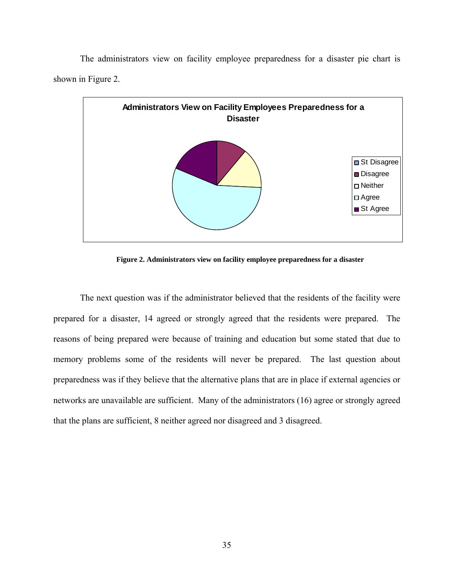The administrators view on facility employee preparedness for a disaster pie chart is shown in Figure 2.



**Figure 2. Administrators view on facility employee preparedness for a disaster** 

The next question was if the administrator believed that the residents of the facility were prepared for a disaster, 14 agreed or strongly agreed that the residents were prepared. The reasons of being prepared were because of training and education but some stated that due to memory problems some of the residents will never be prepared. The last question about preparedness was if they believe that the alternative plans that are in place if external agencies or networks are unavailable are sufficient. Many of the administrators (16) agree or strongly agreed that the plans are sufficient, 8 neither agreed nor disagreed and 3 disagreed.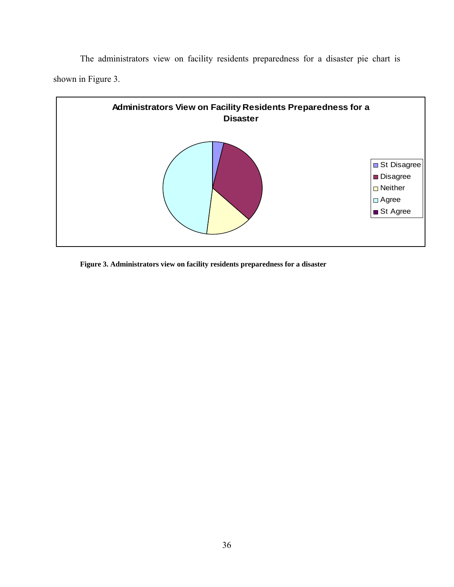The administrators view on facility residents preparedness for a disaster pie chart is shown in Figure 3.



**Figure 3. Administrators view on facility residents preparedness for a disaster**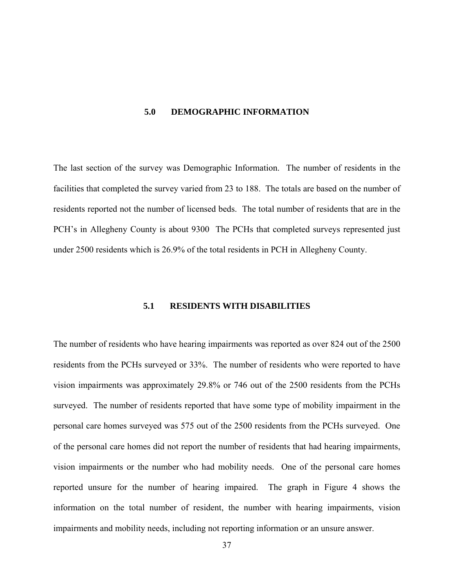#### **5.0 DEMOGRAPHIC INFORMATION**

The last section of the survey was Demographic Information. The number of residents in the facilities that completed the survey varied from 23 to 188. The totals are based on the number of residents reported not the number of licensed beds. The total number of residents that are in the PCH's in Allegheny County is about 9300 The PCHs that completed surveys represented just under 2500 residents which is 26.9% of the total residents in PCH in Allegheny County.

#### **5.1 RESIDENTS WITH DISABILITIES**

The number of residents who have hearing impairments was reported as over 824 out of the 2500 residents from the PCHs surveyed or 33%. The number of residents who were reported to have vision impairments was approximately 29.8% or 746 out of the 2500 residents from the PCHs surveyed. The number of residents reported that have some type of mobility impairment in the personal care homes surveyed was 575 out of the 2500 residents from the PCHs surveyed. One of the personal care homes did not report the number of residents that had hearing impairments, vision impairments or the number who had mobility needs. One of the personal care homes reported unsure for the number of hearing impaired. The graph in Figure 4 shows the information on the total number of resident, the number with hearing impairments, vision impairments and mobility needs, including not reporting information or an unsure answer.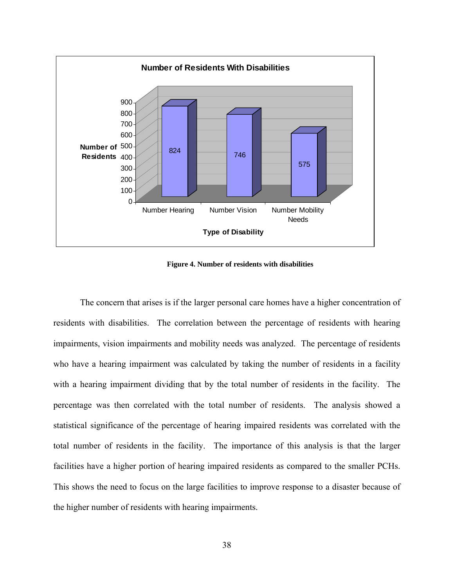

**Figure 4. Number of residents with disabilities** 

The concern that arises is if the larger personal care homes have a higher concentration of residents with disabilities. The correlation between the percentage of residents with hearing impairments, vision impairments and mobility needs was analyzed. The percentage of residents who have a hearing impairment was calculated by taking the number of residents in a facility with a hearing impairment dividing that by the total number of residents in the facility. The percentage was then correlated with the total number of residents. The analysis showed a statistical significance of the percentage of hearing impaired residents was correlated with the total number of residents in the facility. The importance of this analysis is that the larger facilities have a higher portion of hearing impaired residents as compared to the smaller PCHs. This shows the need to focus on the large facilities to improve response to a disaster because of the higher number of residents with hearing impairments.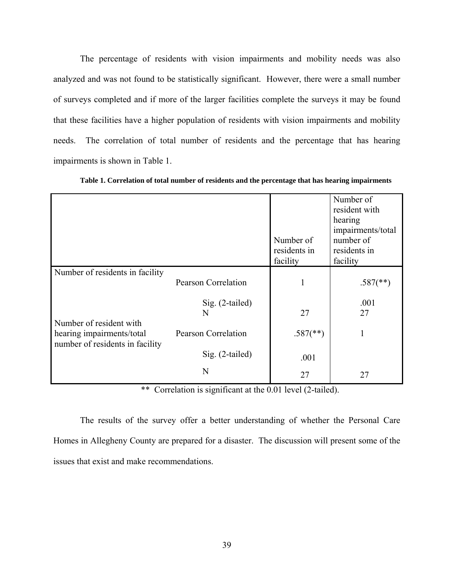The percentage of residents with vision impairments and mobility needs was also analyzed and was not found to be statistically significant. However, there were a small number of surveys completed and if more of the larger facilities complete the surveys it may be found that these facilities have a higher population of residents with vision impairments and mobility needs. The correlation of total number of residents and the percentage that has hearing impairments is shown in Table 1.

|                                                              |                            | Number of                | Number of<br>resident with<br>hearing<br>impairments/total<br>number of |
|--------------------------------------------------------------|----------------------------|--------------------------|-------------------------------------------------------------------------|
|                                                              |                            | residents in             | residents in                                                            |
|                                                              |                            | facility                 | facility                                                                |
| Number of residents in facility                              |                            |                          |                                                                         |
|                                                              | <b>Pearson Correlation</b> | 1                        | $.587$ <sup>(**)</sup> )                                                |
|                                                              | $Sig. (2-tailed)$          |                          | .001                                                                    |
|                                                              | N                          | 27                       | 27                                                                      |
| Number of resident with                                      |                            |                          |                                                                         |
| hearing impairments/total<br>number of residents in facility | <b>Pearson Correlation</b> | $.587$ <sup>(**)</sup> ) | 1                                                                       |
|                                                              | $Sig. (2-tailed)$          | .001                     |                                                                         |
|                                                              | N                          | 27                       | 27                                                                      |

**Table 1. Correlation of total number of residents and the percentage that has hearing impairments** 

\*\* Correlation is significant at the 0.01 level (2-tailed).

The results of the survey offer a better understanding of whether the Personal Care Homes in Allegheny County are prepared for a disaster. The discussion will present some of the issues that exist and make recommendations.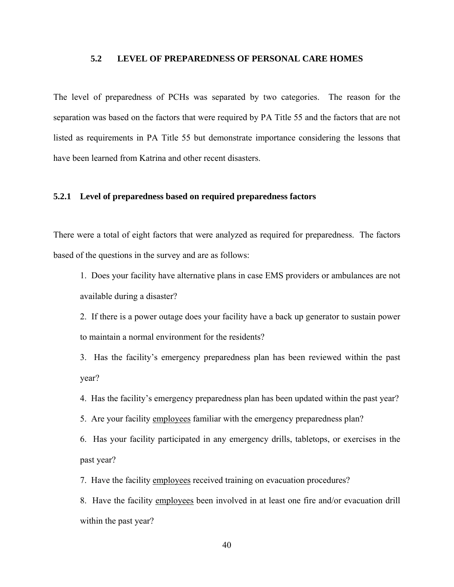### **5.2 LEVEL OF PREPAREDNESS OF PERSONAL CARE HOMES**

The level of preparedness of PCHs was separated by two categories. The reason for the separation was based on the factors that were required by PA Title 55 and the factors that are not listed as requirements in PA Title 55 but demonstrate importance considering the lessons that have been learned from Katrina and other recent disasters.

#### **5.2.1 Level of preparedness based on required preparedness factors**

There were a total of eight factors that were analyzed as required for preparedness. The factors based of the questions in the survey and are as follows:

1. Does your facility have alternative plans in case EMS providers or ambulances are not available during a disaster?

2. If there is a power outage does your facility have a back up generator to sustain power to maintain a normal environment for the residents?

3. Has the facility's emergency preparedness plan has been reviewed within the past year?

4. Has the facility's emergency preparedness plan has been updated within the past year?

5. Are your facility employees familiar with the emergency preparedness plan?

6. Has your facility participated in any emergency drills, tabletops, or exercises in the past year?

7. Have the facility employees received training on evacuation procedures?

8. Have the facility employees been involved in at least one fire and/or evacuation drill within the past year?

40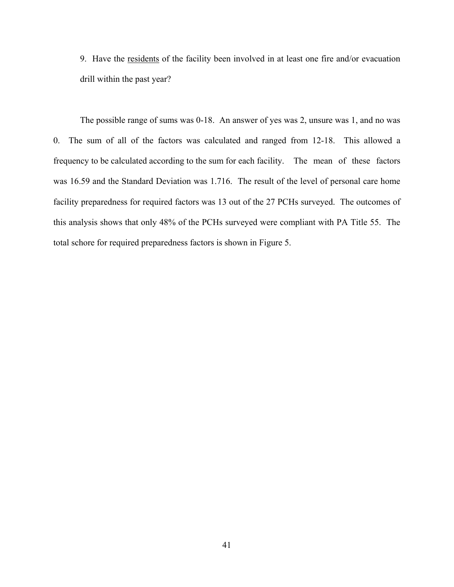9. Have the residents of the facility been involved in at least one fire and/or evacuation drill within the past year?

The possible range of sums was 0-18. An answer of yes was 2, unsure was 1, and no was 0. The sum of all of the factors was calculated and ranged from 12-18. This allowed a frequency to be calculated according to the sum for each facility. The mean of these factors was 16.59 and the Standard Deviation was 1.716. The result of the level of personal care home facility preparedness for required factors was 13 out of the 27 PCHs surveyed. The outcomes of this analysis shows that only 48% of the PCHs surveyed were compliant with PA Title 55. The total schore for required preparedness factors is shown in Figure 5.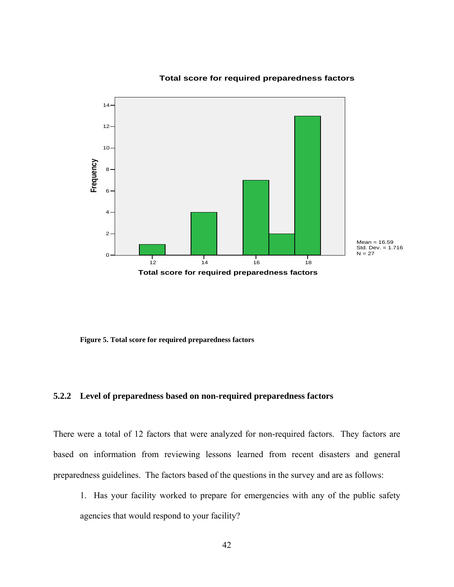

#### **Total score for required preparedness factors**

**Figure 5. Total score for required preparedness factors** 

### **5.2.2 Level of preparedness based on non-required preparedness factors**

There were a total of 12 factors that were analyzed for non-required factors. They factors are based on information from reviewing lessons learned from recent disasters and general preparedness guidelines. The factors based of the questions in the survey and are as follows:

1. Has your facility worked to prepare for emergencies with any of the public safety agencies that would respond to your facility?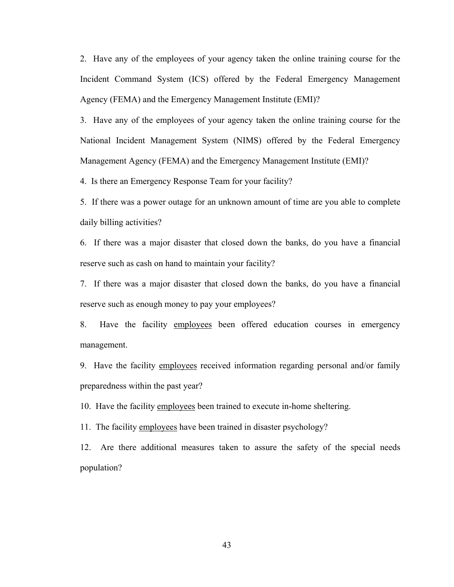2. Have any of the employees of your agency taken the online training course for the Incident Command System (ICS) offered by the Federal Emergency Management Agency (FEMA) and the Emergency Management Institute (EMI)?

3. Have any of the employees of your agency taken the online training course for the National Incident Management System (NIMS) offered by the Federal Emergency Management Agency (FEMA) and the Emergency Management Institute (EMI)?

4. Is there an Emergency Response Team for your facility?

5. If there was a power outage for an unknown amount of time are you able to complete daily billing activities?

6. If there was a major disaster that closed down the banks, do you have a financial reserve such as cash on hand to maintain your facility?

7. If there was a major disaster that closed down the banks, do you have a financial reserve such as enough money to pay your employees?

8. Have the facility employees been offered education courses in emergency management.

9. Have the facility employees received information regarding personal and/or family preparedness within the past year?

10. Have the facility employees been trained to execute in-home sheltering.

11. The facility employees have been trained in disaster psychology?

12. Are there additional measures taken to assure the safety of the special needs population?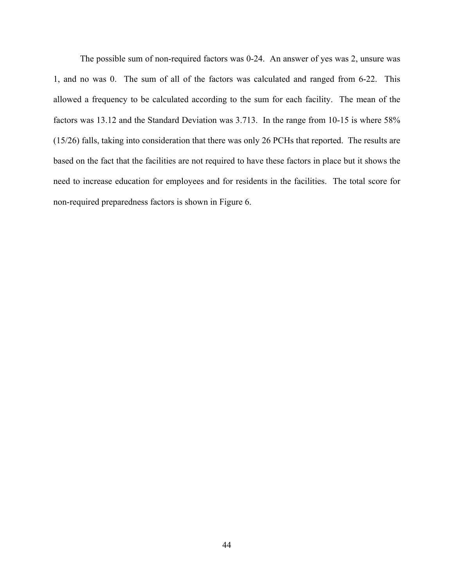The possible sum of non-required factors was 0-24. An answer of yes was 2, unsure was 1, and no was 0. The sum of all of the factors was calculated and ranged from 6-22. This allowed a frequency to be calculated according to the sum for each facility. The mean of the factors was 13.12 and the Standard Deviation was 3.713. In the range from 10-15 is where 58% (15/26) falls, taking into consideration that there was only 26 PCHs that reported. The results are based on the fact that the facilities are not required to have these factors in place but it shows the need to increase education for employees and for residents in the facilities. The total score for non-required preparedness factors is shown in Figure 6.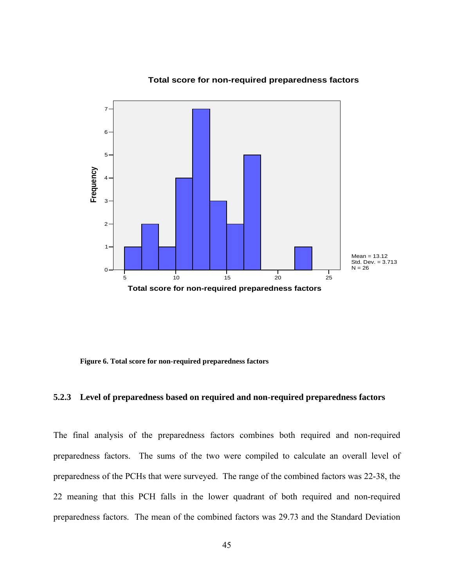

**Total score for non-required preparedness factors**

**Figure 6. Total score for non-required preparedness factors** 

#### **5.2.3 Level of preparedness based on required and non-required preparedness factors**

The final analysis of the preparedness factors combines both required and non-required preparedness factors. The sums of the two were compiled to calculate an overall level of preparedness of the PCHs that were surveyed. The range of the combined factors was 22-38, the 22 meaning that this PCH falls in the lower quadrant of both required and non-required preparedness factors. The mean of the combined factors was 29.73 and the Standard Deviation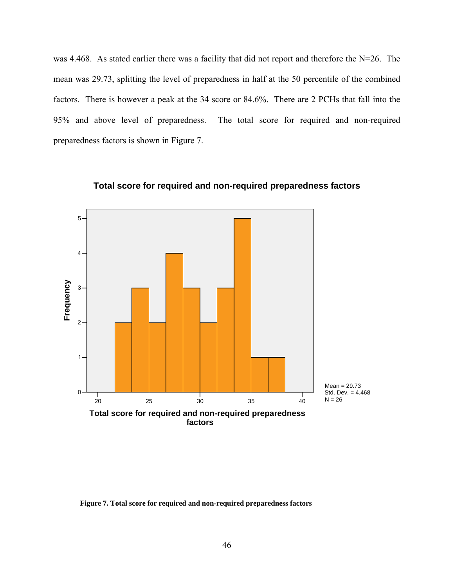was 4.468. As stated earlier there was a facility that did not report and therefore the N=26. The mean was 29.73, splitting the level of preparedness in half at the 50 percentile of the combined factors. There is however a peak at the 34 score or 84.6%. There are 2 PCHs that fall into the 95% and above level of preparedness. The total score for required and non-required preparedness factors is shown in Figure 7.



**Total score for required and non-required preparedness factors**

**Figure 7. Total score for required and non-required preparedness factors**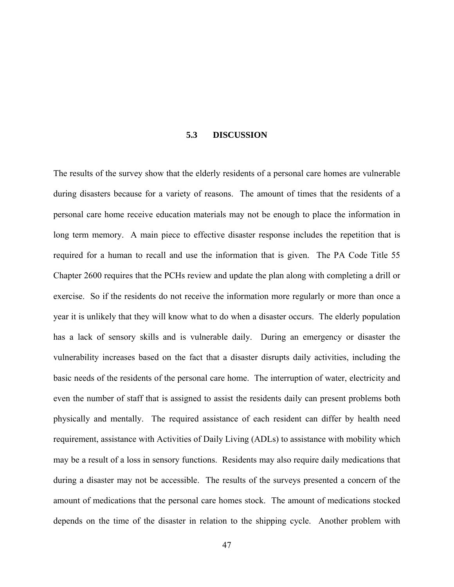#### **5.3 DISCUSSION**

The results of the survey show that the elderly residents of a personal care homes are vulnerable during disasters because for a variety of reasons. The amount of times that the residents of a personal care home receive education materials may not be enough to place the information in long term memory. A main piece to effective disaster response includes the repetition that is required for a human to recall and use the information that is given. The PA Code Title 55 Chapter 2600 requires that the PCHs review and update the plan along with completing a drill or exercise. So if the residents do not receive the information more regularly or more than once a year it is unlikely that they will know what to do when a disaster occurs. The elderly population has a lack of sensory skills and is vulnerable daily. During an emergency or disaster the vulnerability increases based on the fact that a disaster disrupts daily activities, including the basic needs of the residents of the personal care home. The interruption of water, electricity and even the number of staff that is assigned to assist the residents daily can present problems both physically and mentally. The required assistance of each resident can differ by health need requirement, assistance with Activities of Daily Living (ADLs) to assistance with mobility which may be a result of a loss in sensory functions. Residents may also require daily medications that during a disaster may not be accessible. The results of the surveys presented a concern of the amount of medications that the personal care homes stock. The amount of medications stocked depends on the time of the disaster in relation to the shipping cycle. Another problem with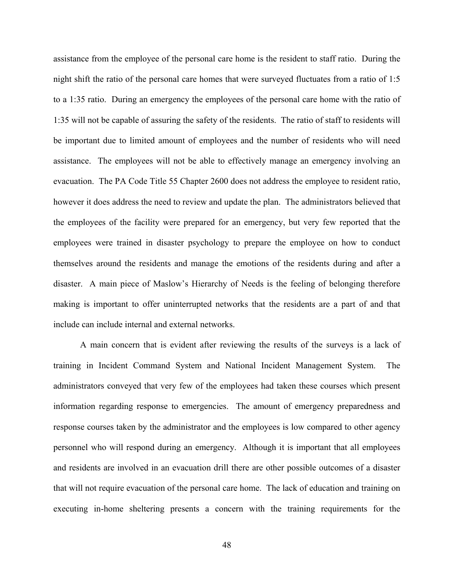assistance from the employee of the personal care home is the resident to staff ratio. During the night shift the ratio of the personal care homes that were surveyed fluctuates from a ratio of 1:5 to a 1:35 ratio. During an emergency the employees of the personal care home with the ratio of 1:35 will not be capable of assuring the safety of the residents. The ratio of staff to residents will be important due to limited amount of employees and the number of residents who will need assistance. The employees will not be able to effectively manage an emergency involving an evacuation. The PA Code Title 55 Chapter 2600 does not address the employee to resident ratio, however it does address the need to review and update the plan. The administrators believed that the employees of the facility were prepared for an emergency, but very few reported that the employees were trained in disaster psychology to prepare the employee on how to conduct themselves around the residents and manage the emotions of the residents during and after a disaster. A main piece of Maslow's Hierarchy of Needs is the feeling of belonging therefore making is important to offer uninterrupted networks that the residents are a part of and that include can include internal and external networks.

A main concern that is evident after reviewing the results of the surveys is a lack of training in Incident Command System and National Incident Management System. The administrators conveyed that very few of the employees had taken these courses which present information regarding response to emergencies. The amount of emergency preparedness and response courses taken by the administrator and the employees is low compared to other agency personnel who will respond during an emergency. Although it is important that all employees and residents are involved in an evacuation drill there are other possible outcomes of a disaster that will not require evacuation of the personal care home. The lack of education and training on executing in-home sheltering presents a concern with the training requirements for the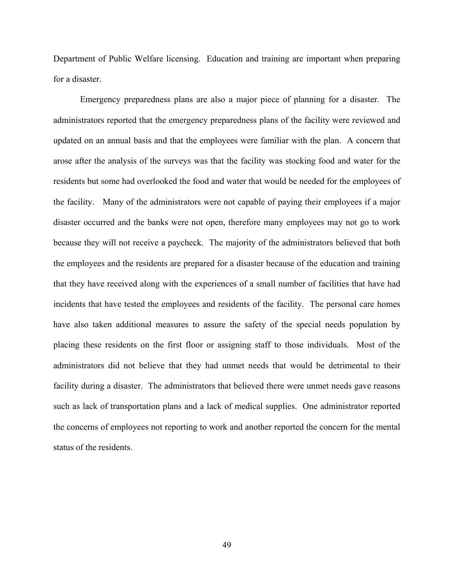Department of Public Welfare licensing. Education and training are important when preparing for a disaster.

Emergency preparedness plans are also a major piece of planning for a disaster. The administrators reported that the emergency preparedness plans of the facility were reviewed and updated on an annual basis and that the employees were familiar with the plan. A concern that arose after the analysis of the surveys was that the facility was stocking food and water for the residents but some had overlooked the food and water that would be needed for the employees of the facility. Many of the administrators were not capable of paying their employees if a major disaster occurred and the banks were not open, therefore many employees may not go to work because they will not receive a paycheck. The majority of the administrators believed that both the employees and the residents are prepared for a disaster because of the education and training that they have received along with the experiences of a small number of facilities that have had incidents that have tested the employees and residents of the facility. The personal care homes have also taken additional measures to assure the safety of the special needs population by placing these residents on the first floor or assigning staff to those individuals. Most of the administrators did not believe that they had unmet needs that would be detrimental to their facility during a disaster. The administrators that believed there were unmet needs gave reasons such as lack of transportation plans and a lack of medical supplies. One administrator reported the concerns of employees not reporting to work and another reported the concern for the mental status of the residents.

49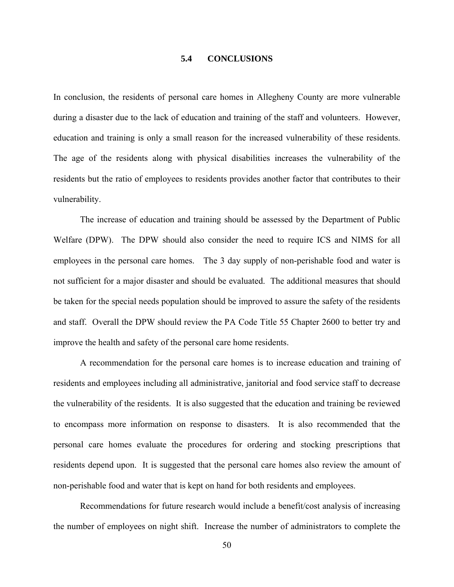#### **5.4 CONCLUSIONS**

In conclusion, the residents of personal care homes in Allegheny County are more vulnerable during a disaster due to the lack of education and training of the staff and volunteers. However, education and training is only a small reason for the increased vulnerability of these residents. The age of the residents along with physical disabilities increases the vulnerability of the residents but the ratio of employees to residents provides another factor that contributes to their vulnerability.

The increase of education and training should be assessed by the Department of Public Welfare (DPW). The DPW should also consider the need to require ICS and NIMS for all employees in the personal care homes. The 3 day supply of non-perishable food and water is not sufficient for a major disaster and should be evaluated. The additional measures that should be taken for the special needs population should be improved to assure the safety of the residents and staff. Overall the DPW should review the PA Code Title 55 Chapter 2600 to better try and improve the health and safety of the personal care home residents.

A recommendation for the personal care homes is to increase education and training of residents and employees including all administrative, janitorial and food service staff to decrease the vulnerability of the residents. It is also suggested that the education and training be reviewed to encompass more information on response to disasters. It is also recommended that the personal care homes evaluate the procedures for ordering and stocking prescriptions that residents depend upon. It is suggested that the personal care homes also review the amount of non-perishable food and water that is kept on hand for both residents and employees.

Recommendations for future research would include a benefit/cost analysis of increasing the number of employees on night shift. Increase the number of administrators to complete the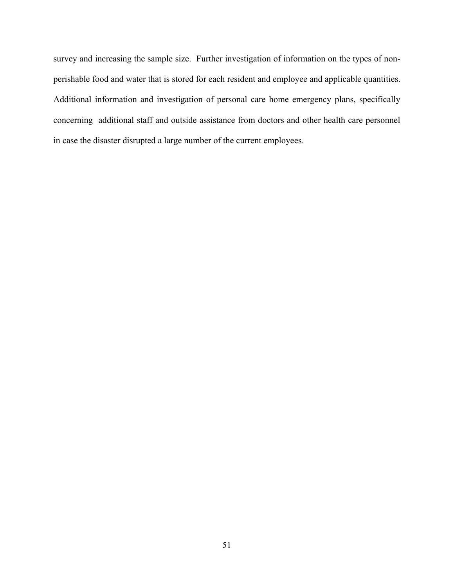survey and increasing the sample size. Further investigation of information on the types of nonperishable food and water that is stored for each resident and employee and applicable quantities. Additional information and investigation of personal care home emergency plans, specifically concerning additional staff and outside assistance from doctors and other health care personnel in case the disaster disrupted a large number of the current employees.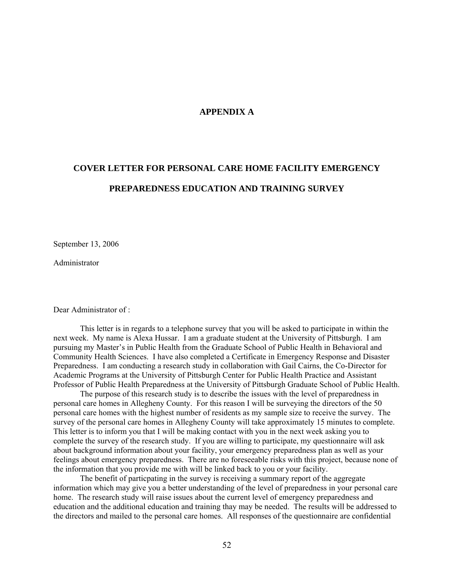#### **APPENDIX A**

# **COVER LETTER FOR PERSONAL CARE HOME FACILITY EMERGENCY PREPAREDNESS EDUCATION AND TRAINING SURVEY**

September 13, 2006

Administrator

Dear Administrator of :

 This letter is in regards to a telephone survey that you will be asked to participate in within the next week. My name is Alexa Hussar. I am a graduate student at the University of Pittsburgh. I am pursuing my Master's in Public Health from the Graduate School of Public Health in Behavioral and Community Health Sciences. I have also completed a Certificate in Emergency Response and Disaster Preparedness. I am conducting a research study in collaboration with Gail Cairns, the Co-Director for Academic Programs at the University of Pittsburgh Center for Public Health Practice and Assistant Professor of Public Health Preparedness at the University of Pittsburgh Graduate School of Public Health.

 The purpose of this research study is to describe the issues with the level of preparedness in personal care homes in Allegheny County. For this reason I will be surveying the directors of the 50 personal care homes with the highest number of residents as my sample size to receive the survey. The survey of the personal care homes in Allegheny County will take approximately 15 minutes to complete. This letter is to inform you that I will be making contact with you in the next week asking you to complete the survey of the research study. If you are willing to participate, my questionnaire will ask about background information about your facility, your emergency preparedness plan as well as your feelings about emergency preparedness. There are no foreseeable risks with this project, because none of the information that you provide me with will be linked back to you or your facility.

 The benefit of particpating in the survey is receiving a summary report of the aggregate information which may give you a better understanding of the level of preparedness in your personal care home. The research study will raise issues about the current level of emergency preparedness and education and the additional education and training thay may be needed. The results will be addressed to the directors and mailed to the personal care homes. All responses of the questionnaire are confidential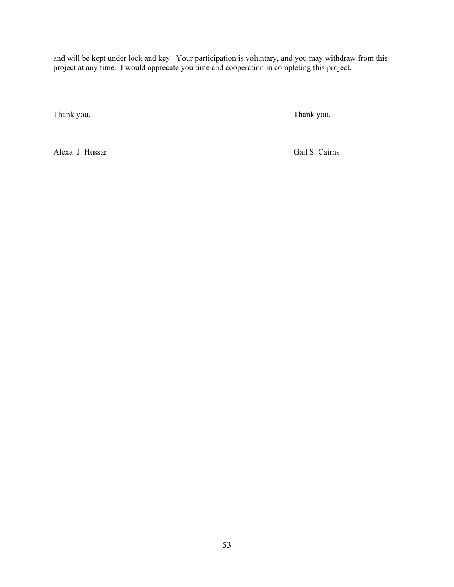and will be kept under lock and key. Your participation is voluntary, and you may withdraw from this project at any time. I would apprecate you time and cooperation in completing this project.

Thank you, Thank you,

Alexa J. Hussar Gail S. Cairns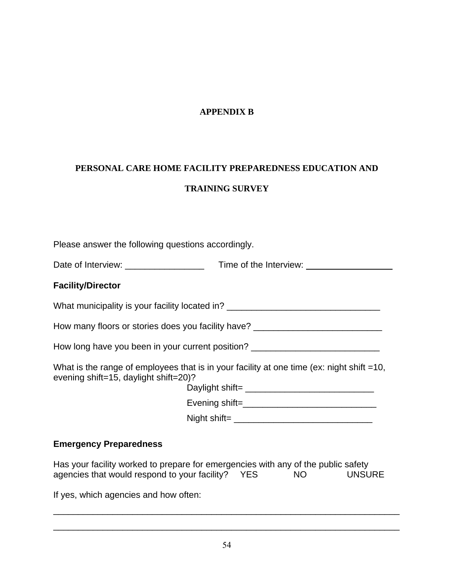### **APPENDIX B**

# **PERSONAL CARE HOME FACILITY PREPAREDNESS EDUCATION AND TRAINING SURVEY**

| Please answer the following questions accordingly.   |                                                                                                    |
|------------------------------------------------------|----------------------------------------------------------------------------------------------------|
|                                                      |                                                                                                    |
| <b>Facility/Director</b>                             |                                                                                                    |
|                                                      | What municipality is your facility located in? _________________________________                   |
|                                                      | How many floors or stories does you facility have? _____________________________                   |
|                                                      | How long have you been in your current position? _______________________________                   |
| evening shift=15, daylight shift=20)?                | What is the range of employees that is in your facility at one time (ex: night shift =10,          |
|                                                      |                                                                                                    |
|                                                      |                                                                                                    |
| <b>Emergency Preparedness</b>                        |                                                                                                    |
| agencies that would respond to your facility? YES NO | Has your facility worked to prepare for emergencies with any of the public safety<br><b>UNSURE</b> |

If yes, which agencies and how often:

\_\_\_\_\_\_\_\_\_\_\_\_\_\_\_\_\_\_\_\_\_\_\_\_\_\_\_\_\_\_\_\_\_\_\_\_\_\_\_\_\_\_\_\_\_\_\_\_\_\_\_\_\_\_\_\_\_\_\_\_\_\_\_\_\_\_\_\_\_\_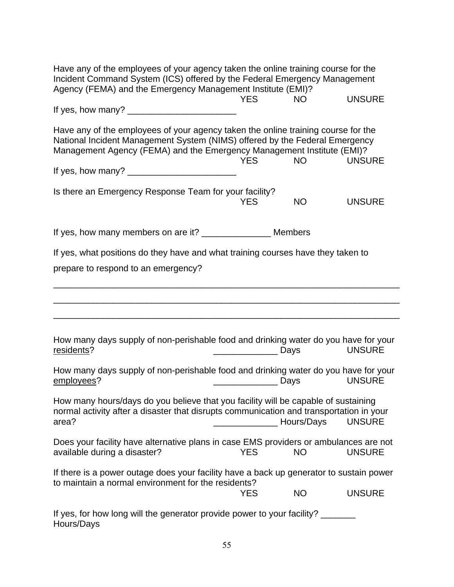| Have any of the employees of your agency taken the online training course for the<br>Incident Command System (ICS) offered by the Federal Emergency Management<br>Agency (FEMA) and the Emergency Management Institute (EMI)?              |                  |            |               |  |  |
|--------------------------------------------------------------------------------------------------------------------------------------------------------------------------------------------------------------------------------------------|------------------|------------|---------------|--|--|
|                                                                                                                                                                                                                                            | <b>YES</b>       | <b>NO</b>  | <b>UNSURE</b> |  |  |
|                                                                                                                                                                                                                                            |                  |            |               |  |  |
| Have any of the employees of your agency taken the online training course for the<br>National Incident Management System (NIMS) offered by the Federal Emergency<br>Management Agency (FEMA) and the Emergency Management Institute (EMI)? | <b>YES</b>       | <b>NO</b>  | <b>UNSURE</b> |  |  |
| Is there an Emergency Response Team for your facility?                                                                                                                                                                                     | <b>YES</b>       | <b>NO</b>  | <b>UNSURE</b> |  |  |
| If yes, how many members on are it? _______________________ Members                                                                                                                                                                        |                  |            |               |  |  |
| If yes, what positions do they have and what training courses have they taken to                                                                                                                                                           |                  |            |               |  |  |
| prepare to respond to an emergency?                                                                                                                                                                                                        |                  |            |               |  |  |
| How many days supply of non-perishable food and drinking water do you have for your<br>residents?                                                                                                                                          | <b>Days</b> Days |            | <b>UNSURE</b> |  |  |
| How many days supply of non-perishable food and drinking water do you have for your<br>employees?                                                                                                                                          | <b>Days</b> Days |            | <b>UNSURE</b> |  |  |
| How many hours/days do you believe that you facility will be capable of sustaining<br>normal activity after a disaster that disrupts communication and transportation in your<br>area?                                                     |                  | Hours/Days | <b>UNSURE</b> |  |  |
| Does your facility have alternative plans in case EMS providers or ambulances are not<br>available during a disaster?                                                                                                                      | <b>YES</b>       | <b>NO</b>  | <b>UNSURE</b> |  |  |
| If there is a power outage does your facility have a back up generator to sustain power<br>to maintain a normal environment for the residents?                                                                                             | <b>YES</b>       | <b>NO</b>  | <b>UNSURE</b> |  |  |
| If yes, for how long will the generator provide power to your facility?<br>Hours/Days                                                                                                                                                      |                  |            |               |  |  |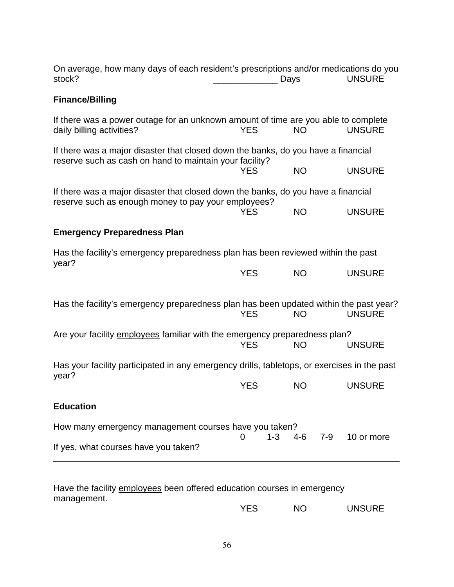| On average, how many days of each resident's prescriptions and/or medications do you<br>stock?                  |                     | Days      | <b>UNSURE</b> |
|-----------------------------------------------------------------------------------------------------------------|---------------------|-----------|---------------|
| <b>Finance/Billing</b>                                                                                          |                     |           |               |
| If there was a power outage for an unknown amount of time are you able to complete<br>daily billing activities? | <b>YES</b>          | <b>NO</b> | <b>UNSURE</b> |
| If there was a major disaster that closed down the banks, do you have a financial                               |                     |           |               |
| reserve such as cash on hand to maintain your facility?                                                         | <b>YES</b>          | <b>NO</b> | <b>UNSURE</b> |
| If there was a major disaster that closed down the banks, do you have a financial                               |                     |           |               |
| reserve such as enough money to pay your employees?                                                             | <b>YES</b>          | <b>NO</b> | <b>UNSURE</b> |
| <b>Emergency Preparedness Plan</b>                                                                              |                     |           |               |
| Has the facility's emergency preparedness plan has been reviewed within the past                                |                     |           |               |
| year?                                                                                                           | <b>YES</b>          | <b>NO</b> | <b>UNSURE</b> |
| Has the facility's emergency preparedness plan has been updated within the past year?                           | <b>YES</b>          | <b>NO</b> | <b>UNSURE</b> |
| Are your facility employees familiar with the emergency preparedness plan?                                      | <b>YES</b>          | <b>NO</b> | <b>UNSURE</b> |
| Has your facility participated in any emergency drills, tabletops, or exercises in the past                     |                     |           |               |
| year?                                                                                                           | <b>YES</b>          | <b>NO</b> | <b>UNSURE</b> |
| <b>Education</b>                                                                                                |                     |           |               |
| How many emergency management courses have you taken?                                                           |                     |           |               |
| If yes, what courses have you taken?                                                                            | $1 - 3$<br>$\Omega$ | 4-6 7-9   | 10 or more    |
|                                                                                                                 |                     |           |               |

Have the facility employees been offered education courses in emergency management. YES NO UNSURE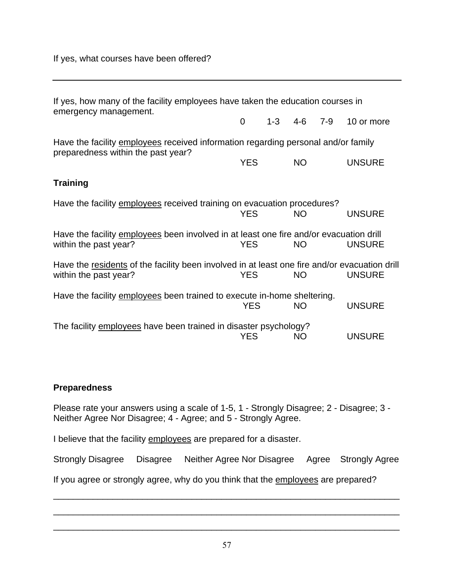If yes, what courses have been offered?

| If yes, how many of the facility employees have taken the education courses in<br>emergency management.                 |            |         |           |         |               |
|-------------------------------------------------------------------------------------------------------------------------|------------|---------|-----------|---------|---------------|
|                                                                                                                         | 0          | $1 - 3$ | $4-6$     | $7 - 9$ | 10 or more    |
| Have the facility employees received information regarding personal and/or family<br>preparedness within the past year? |            |         |           |         |               |
|                                                                                                                         | <b>YES</b> |         | <b>NO</b> |         | <b>UNSURE</b> |
| <b>Training</b>                                                                                                         |            |         |           |         |               |
| Have the facility employees received training on evacuation procedures?                                                 | <b>YES</b> |         | <b>NO</b> |         | <b>UNSURE</b> |
| Have the facility employees been involved in at least one fire and/or evacuation drill<br>within the past year?         | <b>YES</b> |         | NO.       |         | <b>UNSURE</b> |
| Have the residents of the facility been involved in at least one fire and/or evacuation drill<br>within the past year?  | <b>YES</b> |         | <b>NO</b> |         | <b>UNSURE</b> |
| Have the facility employees been trained to execute in-home sheltering.                                                 | <b>YES</b> |         | <b>NO</b> |         | <b>UNSURE</b> |
| The facility employees have been trained in disaster psychology?                                                        | <b>YES</b> |         | <b>NO</b> |         | <b>UNSURE</b> |

### **Preparedness**

Please rate your answers using a scale of 1-5, 1 - Strongly Disagree; 2 - Disagree; 3 - Neither Agree Nor Disagree; 4 - Agree; and 5 - Strongly Agree.

I believe that the facility employees are prepared for a disaster.

Strongly Disagree Disagree Neither Agree Nor Disagree Agree Strongly Agree

\_\_\_\_\_\_\_\_\_\_\_\_\_\_\_\_\_\_\_\_\_\_\_\_\_\_\_\_\_\_\_\_\_\_\_\_\_\_\_\_\_\_\_\_\_\_\_\_\_\_\_\_\_\_\_\_\_\_\_\_\_\_\_\_\_\_\_\_\_\_

\_\_\_\_\_\_\_\_\_\_\_\_\_\_\_\_\_\_\_\_\_\_\_\_\_\_\_\_\_\_\_\_\_\_\_\_\_\_\_\_\_\_\_\_\_\_\_\_\_\_\_\_\_\_\_\_\_\_\_\_\_\_\_\_\_\_\_\_\_\_

If you agree or strongly agree, why do you think that the employees are prepared?

\_\_\_\_\_\_\_\_\_\_\_\_\_\_\_\_\_\_\_\_\_\_\_\_\_\_\_\_\_\_\_\_\_\_\_\_\_\_\_\_\_\_\_\_\_\_\_\_\_\_\_\_\_\_\_\_\_\_\_\_\_\_\_\_\_\_\_\_\_\_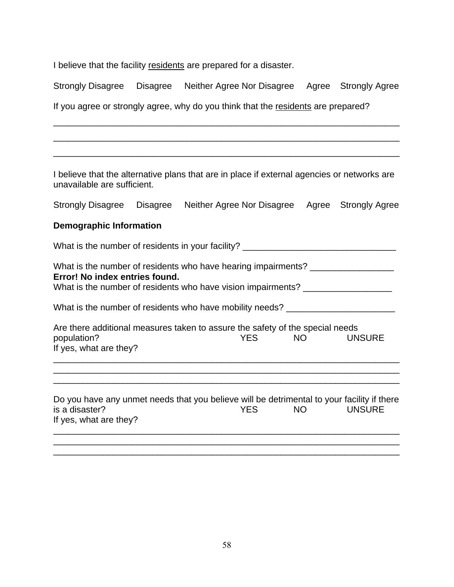I believe that the facility residents are prepared for a disaster.

Strongly Disagree Disagree Neither Agree Nor Disagree Agree Strongly Agree

\_\_\_\_\_\_\_\_\_\_\_\_\_\_\_\_\_\_\_\_\_\_\_\_\_\_\_\_\_\_\_\_\_\_\_\_\_\_\_\_\_\_\_\_\_\_\_\_\_\_\_\_\_\_\_\_\_\_\_\_\_\_\_\_\_\_\_\_\_\_

\_\_\_\_\_\_\_\_\_\_\_\_\_\_\_\_\_\_\_\_\_\_\_\_\_\_\_\_\_\_\_\_\_\_\_\_\_\_\_\_\_\_\_\_\_\_\_\_\_\_\_\_\_\_\_\_\_\_\_\_\_\_\_\_\_\_\_\_\_\_

\_\_\_\_\_\_\_\_\_\_\_\_\_\_\_\_\_\_\_\_\_\_\_\_\_\_\_\_\_\_\_\_\_\_\_\_\_\_\_\_\_\_\_\_\_\_\_\_\_\_\_\_\_\_\_\_\_\_\_\_\_\_\_\_\_\_\_\_\_\_

If you agree or strongly agree, why do you think that the residents are prepared?

I believe that the alternative plans that are in place if external agencies or networks are unavailable are sufficient.

|  |  | Strongly Disagree  Disagree  Neither Agree Nor Disagree  Agree  Strongly Agree |  |  |
|--|--|--------------------------------------------------------------------------------|--|--|
|--|--|--------------------------------------------------------------------------------|--|--|

### **Demographic Information**

What is the number of residents in your facility? \_\_\_\_\_\_\_\_\_\_\_\_\_\_\_\_\_\_\_\_\_\_\_\_\_\_\_\_\_\_

What is the number of residents who have hearing impairments? \_\_\_\_\_\_\_\_\_\_\_\_\_\_\_\_\_\_ **Error! No index entries found.**

What is the number of residents who have vision impairments? \_\_\_\_\_\_\_\_\_\_\_\_\_\_\_\_\_\_\_

What is the number of residents who have mobility needs? \_\_\_\_\_\_\_\_\_\_\_\_\_\_\_\_\_\_\_\_\_\_\_

| Are there additional measures taken to assure the safety of the special needs |      |     |               |
|-------------------------------------------------------------------------------|------|-----|---------------|
| population?                                                                   | YFS. | NO. | <b>UNSURE</b> |
| If yes, what are they?                                                        |      |     |               |

\_\_\_\_\_\_\_\_\_\_\_\_\_\_\_\_\_\_\_\_\_\_\_\_\_\_\_\_\_\_\_\_\_\_\_\_\_\_\_\_\_\_\_\_\_\_\_\_\_\_\_\_\_\_\_\_\_\_\_\_\_\_\_\_\_\_\_\_\_\_ \_\_\_\_\_\_\_\_\_\_\_\_\_\_\_\_\_\_\_\_\_\_\_\_\_\_\_\_\_\_\_\_\_\_\_\_\_\_\_\_\_\_\_\_\_\_\_\_\_\_\_\_\_\_\_\_\_\_\_\_\_\_\_\_\_\_\_\_\_\_

Do you have any unmet needs that you believe will be detrimental to your facility if there is a disaster? YES NO UNSURE If yes, what are they? \_\_\_\_\_\_\_\_\_\_\_\_\_\_\_\_\_\_\_\_\_\_\_\_\_\_\_\_\_\_\_\_\_\_\_\_\_\_\_\_\_\_\_\_\_\_\_\_\_\_\_\_\_\_\_\_\_\_\_\_\_\_\_\_\_\_\_\_\_\_

\_\_\_\_\_\_\_\_\_\_\_\_\_\_\_\_\_\_\_\_\_\_\_\_\_\_\_\_\_\_\_\_\_\_\_\_\_\_\_\_\_\_\_\_\_\_\_\_\_\_\_\_\_\_\_\_\_\_\_\_\_\_\_\_\_\_\_\_\_\_ \_\_\_\_\_\_\_\_\_\_\_\_\_\_\_\_\_\_\_\_\_\_\_\_\_\_\_\_\_\_\_\_\_\_\_\_\_\_\_\_\_\_\_\_\_\_\_\_\_\_\_\_\_\_\_\_\_\_\_\_\_\_\_\_\_\_\_\_\_\_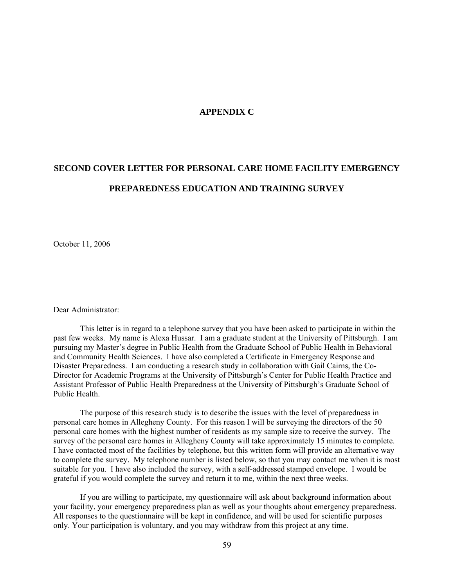#### **APPENDIX C**

### **SECOND COVER LETTER FOR PERSONAL CARE HOME FACILITY EMERGENCY PREPAREDNESS EDUCATION AND TRAINING SURVEY**

October 11, 2006

Dear Administrator:

 This letter is in regard to a telephone survey that you have been asked to participate in within the past few weeks. My name is Alexa Hussar. I am a graduate student at the University of Pittsburgh. I am pursuing my Master's degree in Public Health from the Graduate School of Public Health in Behavioral and Community Health Sciences. I have also completed a Certificate in Emergency Response and Disaster Preparedness. I am conducting a research study in collaboration with Gail Cairns, the Co-Director for Academic Programs at the University of Pittsburgh's Center for Public Health Practice and Assistant Professor of Public Health Preparedness at the University of Pittsburgh's Graduate School of Public Health.

 The purpose of this research study is to describe the issues with the level of preparedness in personal care homes in Allegheny County. For this reason I will be surveying the directors of the 50 personal care homes with the highest number of residents as my sample size to receive the survey. The survey of the personal care homes in Allegheny County will take approximately 15 minutes to complete. I have contacted most of the facilities by telephone, but this written form will provide an alternative way to complete the survey. My telephone number is listed below, so that you may contact me when it is most suitable for you. I have also included the survey, with a self-addressed stamped envelope. I would be grateful if you would complete the survey and return it to me, within the next three weeks.

If you are willing to participate, my questionnaire will ask about background information about your facility, your emergency preparedness plan as well as your thoughts about emergency preparedness. All responses to the questionnaire will be kept in confidence, and will be used for scientific purposes only. Your participation is voluntary, and you may withdraw from this project at any time.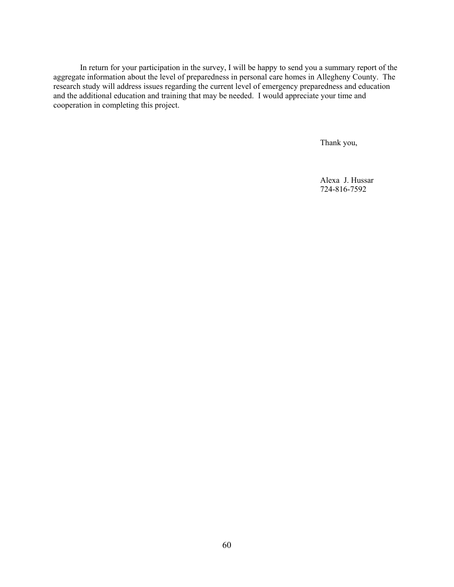In return for your participation in the survey, I will be happy to send you a summary report of the aggregate information about the level of preparedness in personal care homes in Allegheny County. The research study will address issues regarding the current level of emergency preparedness and education and the additional education and training that may be needed. I would appreciate your time and cooperation in completing this project.

Thank you,

Alexa J. Hussar 724-816-7592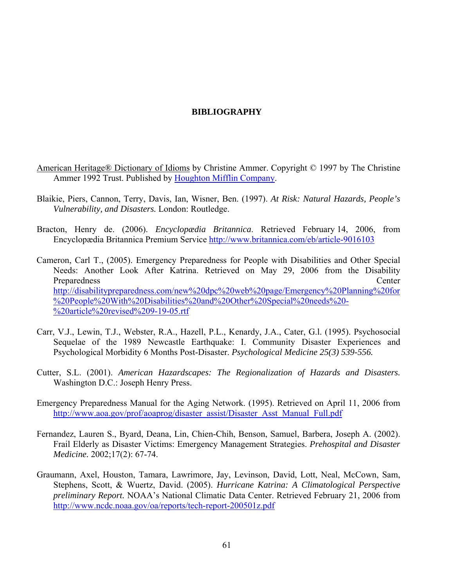## **BIBLIOGRAPHY**

- American Heritage® Dictionary of Idioms by Christine Ammer. Copyright © 1997 by The Christine Ammer 1992 Trust. Published by [Houghton Mifflin Company.](http://www.answers.com/main/Record2?a=NR&url=http://www.eref-trade.hmco.com/)
- Blaikie, Piers, Cannon, Terry, Davis, Ian, Wisner, Ben. (1997). *At Risk: Natural Hazards, People's Vulnerability, and Disasters.* London: Routledge.
- Bracton, Henry de. (2006). *Encyclopædia Britannica*. Retrieved February 14, 2006, from Encyclopædia Britannica Premium Service<http://www.britannica.com/eb/article-9016103>
- Cameron, Carl T., (2005). Emergency Preparedness for People with Disabilities and Other Special Needs: Another Look After Katrina. Retrieved on May 29, 2006 from the Disability Preparedness Center [http://disabilitypreparedness.com/new%20dpc%20web%20page/Emergency%20Planning%20for](http://disabilitypreparedness.com/new%20dpc%20web%20page/Emergency%20Planning%20for%20People%20With%20Disabilities%20and%20Other%20Special%20needs%20-%20article%20revised%209-19-05.rtf) [%20People%20With%20Disabilities%20and%20Other%20Special%20needs%20-](http://disabilitypreparedness.com/new%20dpc%20web%20page/Emergency%20Planning%20for%20People%20With%20Disabilities%20and%20Other%20Special%20needs%20-%20article%20revised%209-19-05.rtf) [%20article%20revised%209-19-05.rtf](http://disabilitypreparedness.com/new%20dpc%20web%20page/Emergency%20Planning%20for%20People%20With%20Disabilities%20and%20Other%20Special%20needs%20-%20article%20revised%209-19-05.rtf)
- Carr, V.J., Lewin, T.J., Webster, R.A., Hazell, P.L., Kenardy, J.A., Cater, G.l. (1995). Psychosocial Sequelae of the 1989 Newcastle Earthquake: I. Community Disaster Experiences and Psychological Morbidity 6 Months Post-Disaster. *Psychological Medicine 25(3) 539-556.*
- Cutter, S.L. (2001). *American Hazardscapes: The Regionalization of Hazards and Disasters.* Washington D.C.: Joseph Henry Press.
- Emergency Preparedness Manual for the Aging Network. (1995). Retrieved on April 11, 2006 from [http://www.aoa.gov/prof/aoaprog/disaster\\_assist/Disaster\\_Asst\\_Manual\\_Full.pdf](http://www.aoa.gov/prof/aoaprog/disaster_assist/Disaster_Asst_Manual_Full.pdf)
- Fernandez, Lauren S., Byard, Deana, Lin, Chien-Chih, Benson, Samuel, Barbera, Joseph A. (2002). Frail Elderly as Disaster Victims: Emergency Management Strategies. *Prehospital and Disaster Medicine.* 2002;17(2): 67-74.
- Graumann, Axel, Houston, Tamara, Lawrimore, Jay, Levinson, David, Lott, Neal, McCown, Sam, Stephens, Scott, & Wuertz, David. (2005). *Hurricane Katrina: A Climatological Perspective preliminary Report.* NOAA's National Climatic Data Center. Retrieved February 21, 2006 from <http://www.ncdc.noaa.gov/oa/reports/tech-report-200501z.pdf>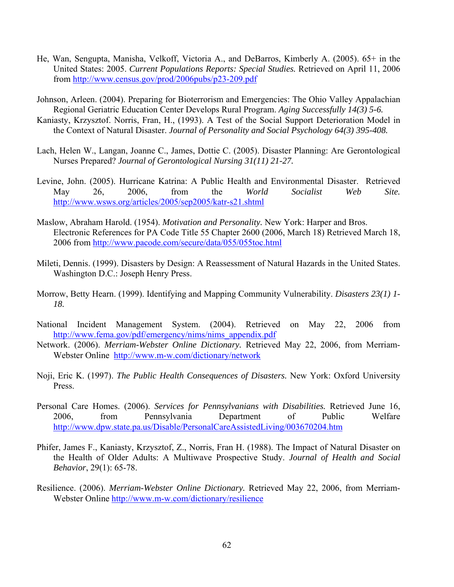- He, Wan, Sengupta, Manisha, Velkoff, Victoria A., and DeBarros, Kimberly A. (2005). 65+ in the United States: 2005. *Current Populations Reports: Special Studies.* Retrieved on April 11, 2006 from<http://www.census.gov/prod/2006pubs/p23-209.pdf>
- Johnson, Arleen. (2004). Preparing for Bioterrorism and Emergencies: The Ohio Valley Appalachian Regional Geriatric Education Center Develops Rural Program. *Aging Successfully 14(3) 5-6.*
- Kaniasty, Krzysztof. Norris, Fran, H., (1993). A Test of the Social Support Deterioration Model in the Context of Natural Disaster. *Journal of Personality and Social Psychology 64(3) 395-408.*
- Lach, Helen W., Langan, Joanne C., James, Dottie C. (2005). Disaster Planning: Are Gerontological Nurses Prepared? *Journal of Gerontological Nursing 31(11) 21-27.*
- Levine, John. (2005). Hurricane Katrina: A Public Health and Environmental Disaster. Retrieved May 26, 2006, from the *World Socialist Web Site.*  <http://www.wsws.org/articles/2005/sep2005/katr-s21.shtml>
- Maslow, Abraham Harold. (1954). *Motivation and Personality.* New York: Harper and Bros. Electronic References for PA Code Title 55 Chapter 2600 (2006, March 18) Retrieved March 18, 2006 from<http://www.pacode.com/secure/data/055/055toc.html>
- Mileti, Dennis. (1999). Disasters by Design: A Reassessment of Natural Hazards in the United States. Washington D.C.: Joseph Henry Press.
- Morrow, Betty Hearn. (1999). Identifying and Mapping Community Vulnerability. *Disasters 23(1) 1- 18.*
- National Incident Management System. (2004). Retrieved on May 22, 2006 from [http://www.fema.gov/pdf/emergency/nims/nims\\_appendix.pdf](http://www.fema.gov/pdf/emergency/nims/nims_appendix.pdf)
- Network. (2006). *Merriam-Webster Online Dictionary.* Retrieved May 22, 2006, from Merriam-Webster Online [http://www.m-w.com/dictionary/network](http://www.m-w.com/dictionary/resilience)
- Noji, Eric K. (1997). *The Public Health Consequences of Disasters.* New York: Oxford University Press.
- Personal Care Homes. (2006). *Services for Pennsylvanians with Disabilities.* Retrieved June 16, 2006, from Pennsylvania Department of Public Welfare <http://www.dpw.state.pa.us/Disable/PersonalCareAssistedLiving/003670204.htm>
- Phifer, James F., Kaniasty, Krzysztof, Z., Norris, Fran H. (1988). The Impact of Natural Disaster on the Health of Older Adults: A Multiwave Prospective Study. *Journal of Health and Social Behavior*, 29(1): 65-78.
- Resilience. (2006). *Merriam-Webster Online Dictionary.* Retrieved May 22, 2006, from Merriam-Webster Online <http://www.m-w.com/dictionary/resilience>